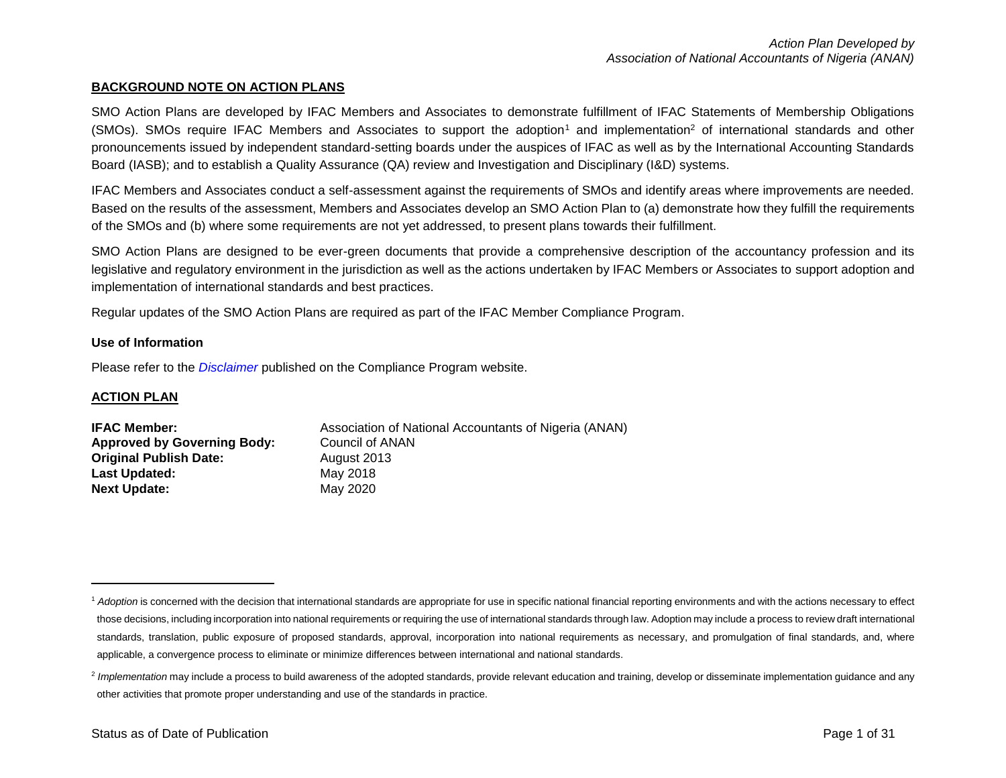#### **BACKGROUND NOTE ON ACTION PLANS**

SMO Action Plans are developed by IFAC Members and Associates to demonstrate fulfillment of IFAC Statements of Membership Obligations  $(SMOs)$ . SMOs require IFAC Members and Associates to support the adoption<sup>1</sup> and implementation<sup>2</sup> of international standards and other pronouncements issued by independent standard-setting boards under the auspices of IFAC as well as by the International Accounting Standards Board (IASB); and to establish a Quality Assurance (QA) review and Investigation and Disciplinary (I&D) systems.

IFAC Members and Associates conduct a self-assessment against the requirements of SMOs and identify areas where improvements are needed. Based on the results of the assessment, Members and Associates develop an SMO Action Plan to (a) demonstrate how they fulfill the requirements of the SMOs and (b) where some requirements are not yet addressed, to present plans towards their fulfillment.

SMO Action Plans are designed to be ever-green documents that provide a comprehensive description of the accountancy profession and its legislative and regulatory environment in the jurisdiction as well as the actions undertaken by IFAC Members or Associates to support adoption and implementation of international standards and best practices.

Regular updates of the SMO Action Plans are required as part of the IFAC Member Compliance Program.

#### **Use of Information**

Please refer to the *[Disclaimer](http://www.ifac.org/about-ifac/membership/members/disclaimer)* published on the Compliance Program website.

#### **ACTION PLAN**

 $\overline{a}$ 

| <b>IFAC Member:</b>                | Association of National Accountants of Nigeria (ANAN) |
|------------------------------------|-------------------------------------------------------|
| <b>Approved by Governing Body:</b> | Council of ANAN                                       |
| <b>Original Publish Date:</b>      | August 2013                                           |
| <b>Last Updated:</b>               | May 2018                                              |
| <b>Next Update:</b>                | May 2020                                              |

<sup>&</sup>lt;sup>1</sup> Adoption is concerned with the decision that international standards are appropriate for use in specific national financial reporting environments and with the actions necessary to effect those decisions, including incorporation into national requirements or requiring the use of international standards through law. Adoption may include a process to review draft international standards, translation, public exposure of proposed standards, approval, incorporation into national requirements as necessary, and promulgation of final standards, and, where applicable, a convergence process to eliminate or minimize differences between international and national standards.

<sup>&</sup>lt;sup>2</sup> Implementation may include a process to build awareness of the adopted standards, provide relevant education and training, develop or disseminate implementation guidance and any other activities that promote proper understanding and use of the standards in practice.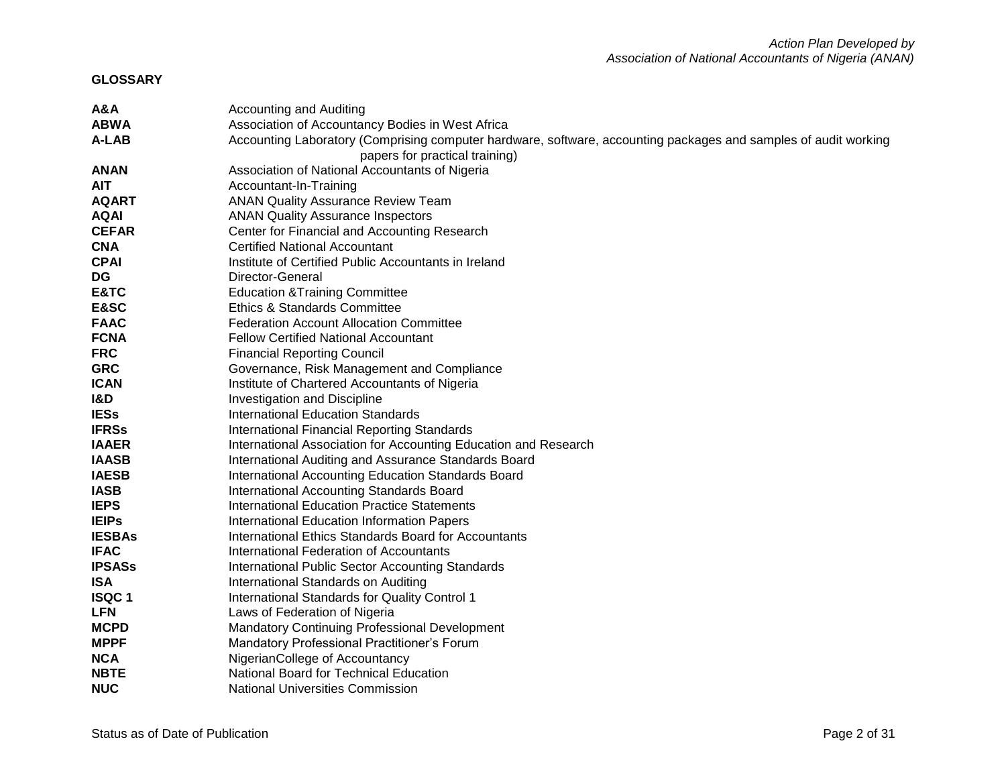**GLOSSARY**

| A&A            | <b>Accounting and Auditing</b>                                                                                  |
|----------------|-----------------------------------------------------------------------------------------------------------------|
| <b>ABWA</b>    | Association of Accountancy Bodies in West Africa                                                                |
| A-LAB          | Accounting Laboratory (Comprising computer hardware, software, accounting packages and samples of audit working |
|                | papers for practical training)                                                                                  |
| <b>ANAN</b>    | Association of National Accountants of Nigeria                                                                  |
| <b>AIT</b>     | Accountant-In-Training                                                                                          |
| <b>AQART</b>   | <b>ANAN Quality Assurance Review Team</b>                                                                       |
| <b>AQAI</b>    | <b>ANAN Quality Assurance Inspectors</b>                                                                        |
| <b>CEFAR</b>   | Center for Financial and Accounting Research                                                                    |
| <b>CNA</b>     | <b>Certified National Accountant</b>                                                                            |
| <b>CPAI</b>    | Institute of Certified Public Accountants in Ireland                                                            |
| <b>DG</b>      | Director-General                                                                                                |
| E&TC           | <b>Education &amp; Training Committee</b>                                                                       |
| E&SC           | <b>Ethics &amp; Standards Committee</b>                                                                         |
| <b>FAAC</b>    | <b>Federation Account Allocation Committee</b>                                                                  |
| <b>FCNA</b>    | <b>Fellow Certified National Accountant</b>                                                                     |
| <b>FRC</b>     | <b>Financial Reporting Council</b>                                                                              |
| <b>GRC</b>     | Governance, Risk Management and Compliance                                                                      |
| <b>ICAN</b>    | Institute of Chartered Accountants of Nigeria                                                                   |
| <b>I&amp;D</b> | Investigation and Discipline                                                                                    |
| <b>IESs</b>    | <b>International Education Standards</b>                                                                        |
| <b>IFRSs</b>   | International Financial Reporting Standards                                                                     |
| <b>IAAER</b>   | International Association for Accounting Education and Research                                                 |
| <b>IAASB</b>   | International Auditing and Assurance Standards Board                                                            |
| <b>IAESB</b>   | International Accounting Education Standards Board                                                              |
| <b>IASB</b>    | International Accounting Standards Board                                                                        |
| <b>IEPS</b>    | <b>International Education Practice Statements</b>                                                              |
| <b>IEIPs</b>   | International Education Information Papers                                                                      |
| <b>IESBAs</b>  | International Ethics Standards Board for Accountants                                                            |
| <b>IFAC</b>    | International Federation of Accountants                                                                         |
| <b>IPSASs</b>  | International Public Sector Accounting Standards                                                                |
| <b>ISA</b>     | International Standards on Auditing                                                                             |
| <b>ISQC1</b>   | International Standards for Quality Control 1                                                                   |
| <b>LFN</b>     | Laws of Federation of Nigeria                                                                                   |
| <b>MCPD</b>    | Mandatory Continuing Professional Development                                                                   |
| <b>MPPF</b>    | Mandatory Professional Practitioner's Forum                                                                     |
| <b>NCA</b>     | NigerianCollege of Accountancy                                                                                  |
| <b>NBTE</b>    | National Board for Technical Education                                                                          |
| <b>NUC</b>     | <b>National Universities Commission</b>                                                                         |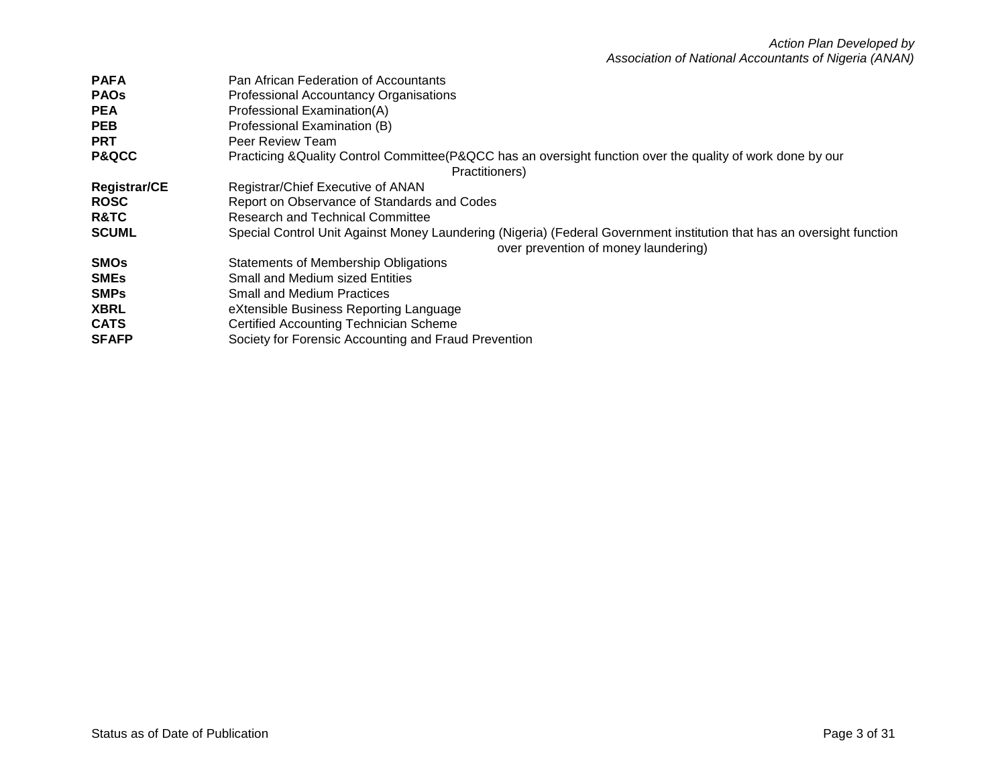| <b>PAFA</b>         | Pan African Federation of Accountants                                                                                  |
|---------------------|------------------------------------------------------------------------------------------------------------------------|
| <b>PAOs</b>         | Professional Accountancy Organisations                                                                                 |
| <b>PEA</b>          | Professional Examination(A)                                                                                            |
| <b>PEB</b>          | Professional Examination (B)                                                                                           |
| <b>PRT</b>          | Peer Review Team                                                                                                       |
| <b>P&amp;QCC</b>    | Practicing &Quality Control Committee(P&QCC has an oversight function over the quality of work done by our             |
|                     | Practitioners)                                                                                                         |
| <b>Registrar/CE</b> | Registrar/Chief Executive of ANAN                                                                                      |
| <b>ROSC</b>         | Report on Observance of Standards and Codes                                                                            |
| <b>R&amp;TC</b>     | <b>Research and Technical Committee</b>                                                                                |
| <b>SCUML</b>        | Special Control Unit Against Money Laundering (Nigeria) (Federal Government institution that has an oversight function |
|                     | over prevention of money laundering)                                                                                   |
| <b>SMOs</b>         | <b>Statements of Membership Obligations</b>                                                                            |
| <b>SMEs</b>         | <b>Small and Medium sized Entities</b>                                                                                 |
| <b>SMPs</b>         | <b>Small and Medium Practices</b>                                                                                      |
| <b>XBRL</b>         | eXtensible Business Reporting Language                                                                                 |
| <b>CATS</b>         | <b>Certified Accounting Technician Scheme</b>                                                                          |
| <b>SFAFP</b>        | Society for Forensic Accounting and Fraud Prevention                                                                   |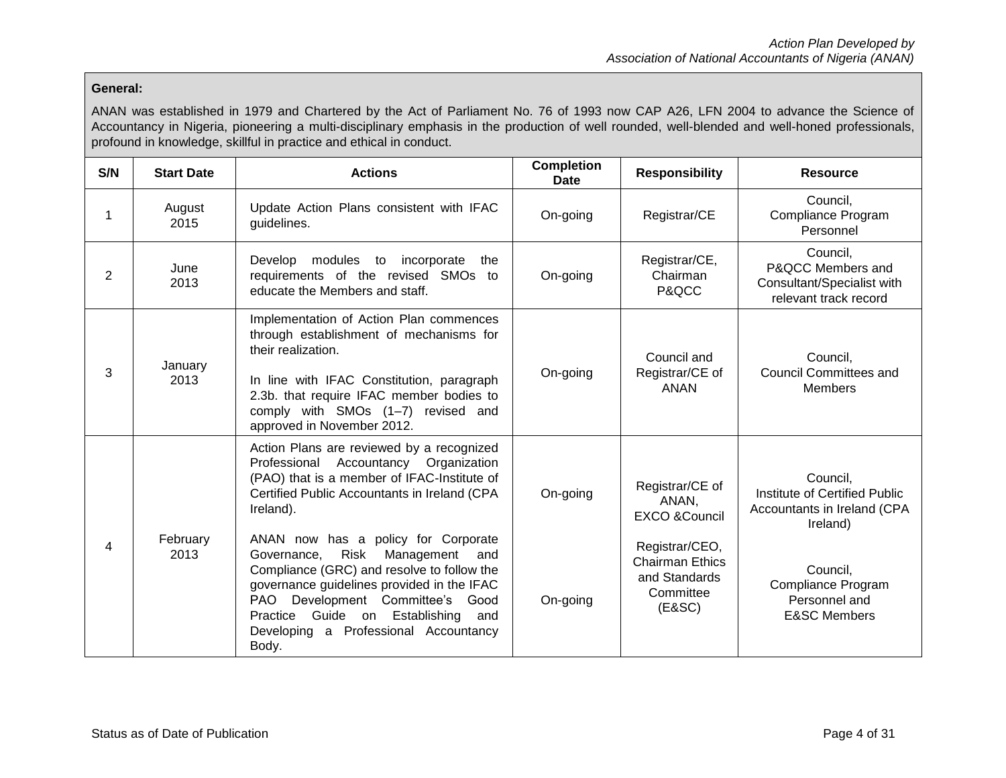## **General:**

ANAN was established in 1979 and Chartered by the Act of Parliament No. 76 of 1993 now CAP A26, LFN 2004 to advance the Science of Accountancy in Nigeria, pioneering a multi-disciplinary emphasis in the production of well rounded, well-blended and well-honed professionals, profound in knowledge, skillful in practice and ethical in conduct.

| S/N            | <b>Start Date</b> | <b>Actions</b>                                                                                                                                                                                                                                                                                                                                                                   | <b>Completion</b><br><b>Date</b> | <b>Responsibility</b>                                                                                                          | <b>Resource</b>                                                                                                        |  |
|----------------|-------------------|----------------------------------------------------------------------------------------------------------------------------------------------------------------------------------------------------------------------------------------------------------------------------------------------------------------------------------------------------------------------------------|----------------------------------|--------------------------------------------------------------------------------------------------------------------------------|------------------------------------------------------------------------------------------------------------------------|--|
| 1              | August<br>2015    | Update Action Plans consistent with IFAC<br>guidelines.                                                                                                                                                                                                                                                                                                                          | On-going                         | Registrar/CE                                                                                                                   | Council,<br>Compliance Program<br>Personnel                                                                            |  |
| $\overline{2}$ | June<br>2013      | modules to incorporate<br>Develop<br>the<br>requirements of the revised SMOs to<br>educate the Members and staff.                                                                                                                                                                                                                                                                | On-going                         | Registrar/CE,<br>Chairman<br>P&QCC                                                                                             | Council,<br>P&QCC Members and<br>Consultant/Specialist with<br>relevant track record                                   |  |
| 3              | January<br>2013   | Implementation of Action Plan commences<br>through establishment of mechanisms for<br>their realization.<br>In line with IFAC Constitution, paragraph<br>2.3b. that require IFAC member bodies to<br>comply with SMOs (1-7) revised and<br>approved in November 2012.                                                                                                            | On-going                         | Council and<br>Registrar/CE of<br><b>ANAN</b>                                                                                  | Council,<br><b>Council Committees and</b><br><b>Members</b>                                                            |  |
| 4              | February<br>2013  | Action Plans are reviewed by a recognized<br>Accountancy Organization<br>Professional<br>(PAO) that is a member of IFAC-Institute of<br>Certified Public Accountants in Ireland (CPA<br>Ireland).<br>ANAN now has a policy for Corporate<br>Risk<br>Management<br>Governance.<br>and<br>Compliance (GRC) and resolve to follow the<br>governance guidelines provided in the IFAC | On-going                         | Registrar/CE of<br>ANAN,<br><b>EXCO &amp;Council</b><br>Registrar/CEO,<br><b>Chairman Ethics</b><br>and Standards<br>Committee | Council,<br>Institute of Certified Public<br>Accountants in Ireland (CPA<br>Ireland)<br>Council,<br>Compliance Program |  |
|                |                   | <b>PAO</b><br>Development Committee's<br>Good<br>Guide on Establishing<br>Practice<br>and<br>Developing a Professional Accountancy<br>Body.                                                                                                                                                                                                                                      | On-going                         | (E&SC)                                                                                                                         | Personnel and<br><b>E&amp;SC Members</b>                                                                               |  |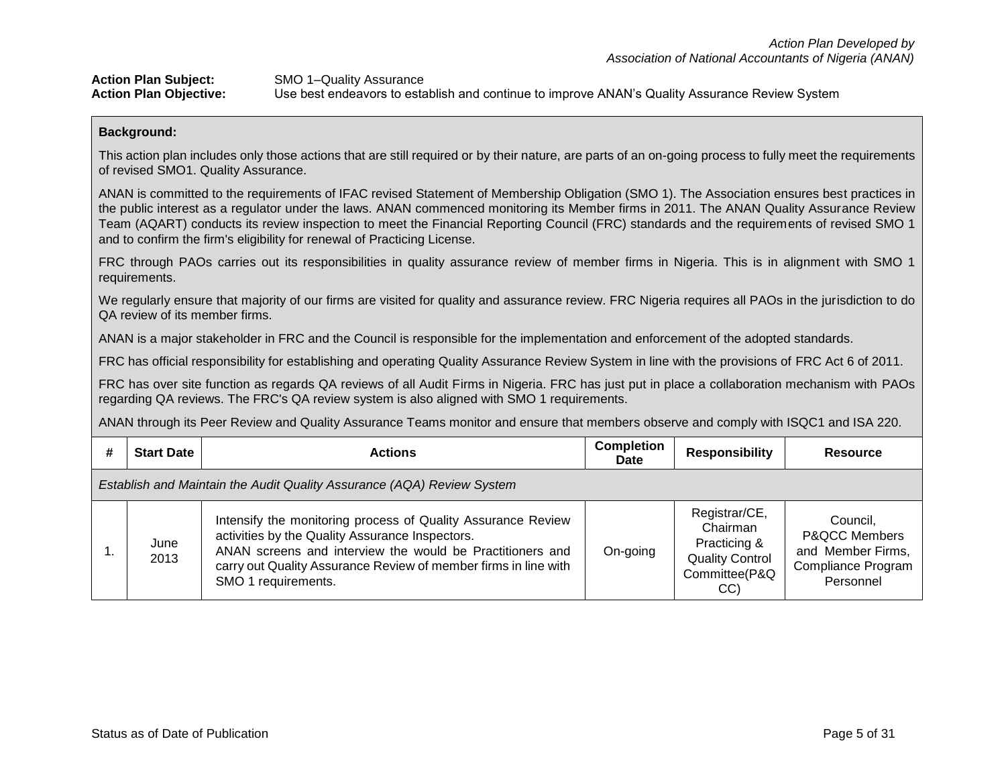| <b>Action Plan Subject:</b>   | SMO 1-Quality Assurance                                                                        |
|-------------------------------|------------------------------------------------------------------------------------------------|
| <b>Action Plan Objective:</b> | Use best endeavors to establish and continue to improve ANAN's Quality Assurance Review System |

This action plan includes only those actions that are still required or by their nature, are parts of an on-going process to fully meet the requirements of revised SMO1. Quality Assurance.

ANAN is committed to the requirements of IFAC revised Statement of Membership Obligation (SMO 1). The Association ensures best practices in the public interest as a regulator under the laws. ANAN commenced monitoring its Member firms in 2011. The ANAN Quality Assurance Review Team (AQART) conducts its review inspection to meet the Financial Reporting Council (FRC) standards and the requirements of revised SMO 1 and to confirm the firm's eligibility for renewal of Practicing License.

FRC through PAOs carries out its responsibilities in quality assurance review of member firms in Nigeria. This is in alignment with SMO 1 requirements.

We regularly ensure that majority of our firms are visited for quality and assurance review. FRC Nigeria requires all PAOs in the jurisdiction to do QA review of its member firms.

ANAN is a major stakeholder in FRC and the Council is responsible for the implementation and enforcement of the adopted standards.

FRC has official responsibility for establishing and operating Quality Assurance Review System in line with the provisions of FRC Act 6 of 2011.

FRC has over site function as regards QA reviews of all Audit Firms in Nigeria. FRC has just put in place a collaboration mechanism with PAOs regarding QA reviews. The FRC's QA review system is also aligned with SMO 1 requirements.

ANAN through its Peer Review and Quality Assurance Teams monitor and ensure that members observe and comply with ISQC1 and ISA 220.

| #                                                                      | <b>Start Date</b> | <b>Actions</b>                                                                                                                                                                                                                                                         | <b>Completion</b><br><b>Date</b> | <b>Responsibility</b>                                                                       | Resource                                                                                            |
|------------------------------------------------------------------------|-------------------|------------------------------------------------------------------------------------------------------------------------------------------------------------------------------------------------------------------------------------------------------------------------|----------------------------------|---------------------------------------------------------------------------------------------|-----------------------------------------------------------------------------------------------------|
| Establish and Maintain the Audit Quality Assurance (AQA) Review System |                   |                                                                                                                                                                                                                                                                        |                                  |                                                                                             |                                                                                                     |
|                                                                        | June<br>2013      | Intensify the monitoring process of Quality Assurance Review<br>activities by the Quality Assurance Inspectors.<br>ANAN screens and interview the would be Practitioners and<br>carry out Quality Assurance Review of member firms in line with<br>SMO 1 requirements. | On-going                         | Registrar/CE,<br>Chairman<br>Practicing &<br><b>Quality Control</b><br>Committee(P&Q<br>CC) | Council.<br><b>P&amp;QCC Members</b><br>and Member Firms,<br><b>Compliance Program</b><br>Personnel |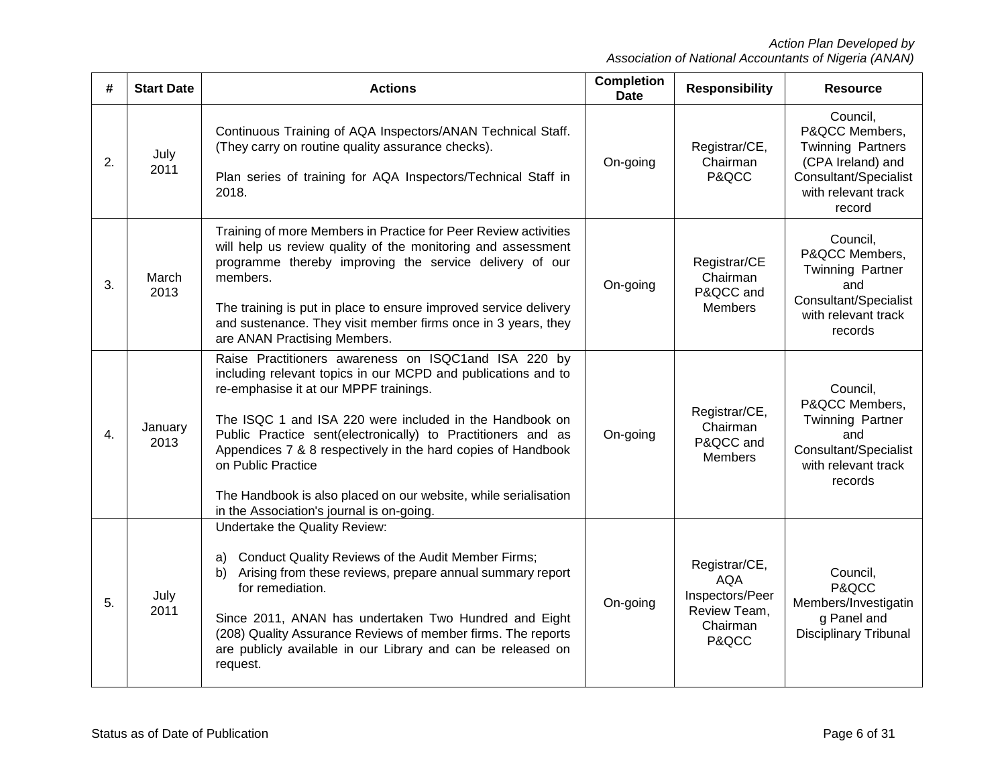| #  | <b>Start Date</b>                                                                                                                                                                                                                                                                                                                                                                                                                                  | <b>Completion</b><br><b>Actions</b>                                                                                                                                                                                                                                                                                                                                                                                                                 |          | <b>Responsibility</b>                                                               | <b>Resource</b>                                                                                                                       |
|----|----------------------------------------------------------------------------------------------------------------------------------------------------------------------------------------------------------------------------------------------------------------------------------------------------------------------------------------------------------------------------------------------------------------------------------------------------|-----------------------------------------------------------------------------------------------------------------------------------------------------------------------------------------------------------------------------------------------------------------------------------------------------------------------------------------------------------------------------------------------------------------------------------------------------|----------|-------------------------------------------------------------------------------------|---------------------------------------------------------------------------------------------------------------------------------------|
| 2. | Continuous Training of AQA Inspectors/ANAN Technical Staff.<br>(They carry on routine quality assurance checks).<br>July<br>2011<br>Plan series of training for AQA Inspectors/Technical Staff in<br>2018.                                                                                                                                                                                                                                         |                                                                                                                                                                                                                                                                                                                                                                                                                                                     | On-going | Registrar/CE,<br>Chairman<br>P&QCC                                                  | Council,<br>P&QCC Members,<br><b>Twinning Partners</b><br>(CPA Ireland) and<br>Consultant/Specialist<br>with relevant track<br>record |
| 3. | March<br>2013                                                                                                                                                                                                                                                                                                                                                                                                                                      | Training of more Members in Practice for Peer Review activities<br>will help us review quality of the monitoring and assessment<br>programme thereby improving the service delivery of our<br>members.<br>The training is put in place to ensure improved service delivery<br>and sustenance. They visit member firms once in 3 years, they<br>are ANAN Practising Members.                                                                         | On-going | Registrar/CE<br>Chairman<br>P&QCC and<br><b>Members</b>                             | Council,<br>P&QCC Members,<br>Twinning Partner<br>and<br>Consultant/Specialist<br>with relevant track<br>records                      |
| 4. | January<br>2013                                                                                                                                                                                                                                                                                                                                                                                                                                    | Raise Practitioners awareness on ISQC1and ISA 220 by<br>including relevant topics in our MCPD and publications and to<br>re-emphasise it at our MPPF trainings.<br>The ISQC 1 and ISA 220 were included in the Handbook on<br>Public Practice sent(electronically) to Practitioners and as<br>Appendices 7 & 8 respectively in the hard copies of Handbook<br>on Public Practice<br>The Handbook is also placed on our website, while serialisation |          | Registrar/CE,<br>Chairman<br>P&QCC and<br><b>Members</b>                            | Council,<br>P&QCC Members,<br>Twinning Partner<br>and<br>Consultant/Specialist<br>with relevant track<br>records                      |
| 5. | in the Association's journal is on-going.<br>Undertake the Quality Review:<br>Conduct Quality Reviews of the Audit Member Firms;<br>a)<br>Arising from these reviews, prepare annual summary report<br>b)<br>for remediation.<br>July<br>2011<br>Since 2011, ANAN has undertaken Two Hundred and Eight<br>(208) Quality Assurance Reviews of member firms. The reports<br>are publicly available in our Library and can be released on<br>request. |                                                                                                                                                                                                                                                                                                                                                                                                                                                     | On-going | Registrar/CE,<br><b>AQA</b><br>Inspectors/Peer<br>Review Team,<br>Chairman<br>P&QCC | Council,<br>P&QCC<br>Members/Investigatin<br>g Panel and<br><b>Disciplinary Tribunal</b>                                              |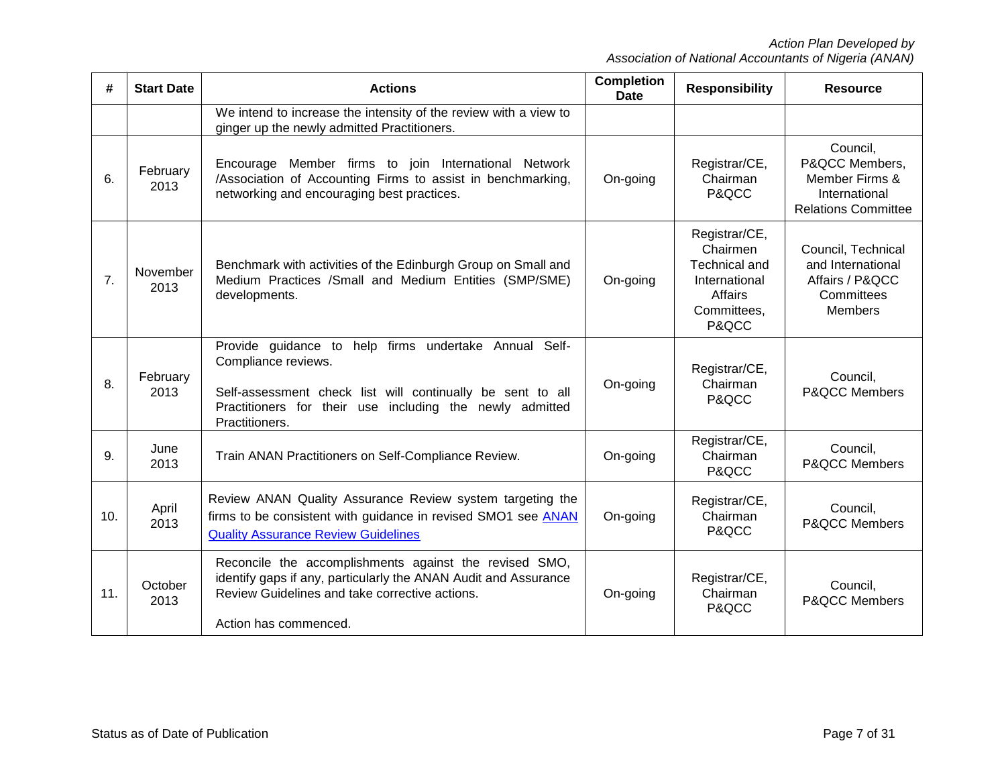| #              | <b>Start Date</b> | <b>Actions</b>                                                                                                                                                                                                              | <b>Completion</b><br><b>Date</b> | <b>Responsibility</b>                                                                                 | <b>Resource</b>                                                                             |
|----------------|-------------------|-----------------------------------------------------------------------------------------------------------------------------------------------------------------------------------------------------------------------------|----------------------------------|-------------------------------------------------------------------------------------------------------|---------------------------------------------------------------------------------------------|
|                |                   | We intend to increase the intensity of the review with a view to<br>ginger up the newly admitted Practitioners.                                                                                                             |                                  |                                                                                                       |                                                                                             |
| 6.             | February<br>2013  | Encourage Member firms to join International Network<br>/Association of Accounting Firms to assist in benchmarking,<br>networking and encouraging best practices.                                                           | On-going                         | Registrar/CE,<br>Chairman<br>P&QCC                                                                    | Council,<br>P&QCC Members,<br>Member Firms &<br>International<br><b>Relations Committee</b> |
| 7 <sub>1</sub> | November<br>2013  | Benchmark with activities of the Edinburgh Group on Small and<br>Medium Practices /Small and Medium Entities (SMP/SME)<br>developments.                                                                                     | On-going                         | Registrar/CE,<br>Chairmen<br><b>Technical and</b><br>International<br>Affairs<br>Committees,<br>P&QCC | Council, Technical<br>and International<br>Affairs / P&QCC<br>Committees<br><b>Members</b>  |
| 8.             | February<br>2013  | Provide guidance to help firms undertake Annual Self-<br>Compliance reviews.<br>Self-assessment check list will continually be sent to all<br>Practitioners for their use<br>including the newly admitted<br>Practitioners. | On-going                         | Registrar/CE,<br>Chairman<br>P&QCC                                                                    | Council,<br>P&QCC Members                                                                   |
| 9.             | June<br>2013      | Train ANAN Practitioners on Self-Compliance Review.                                                                                                                                                                         | On-going                         | Registrar/CE,<br>Chairman<br>P&QCC                                                                    | Council,<br>P&QCC Members                                                                   |
| 10.            | April<br>2013     | Review ANAN Quality Assurance Review system targeting the<br>firms to be consistent with guidance in revised SMO1 see ANAN<br><b>Quality Assurance Review Guidelines</b>                                                    | On-going                         | Registrar/CE,<br>Chairman<br>P&QCC                                                                    | Council,<br>P&QCC Members                                                                   |
| 11.            | October<br>2013   | Reconcile the accomplishments against the revised SMO,<br>identify gaps if any, particularly the ANAN Audit and Assurance<br>Review Guidelines and take corrective actions.<br>Action has commenced.                        | On-going                         | Registrar/CE,<br>Chairman<br>P&QCC                                                                    | Council,<br><b>P&amp;QCC Members</b>                                                        |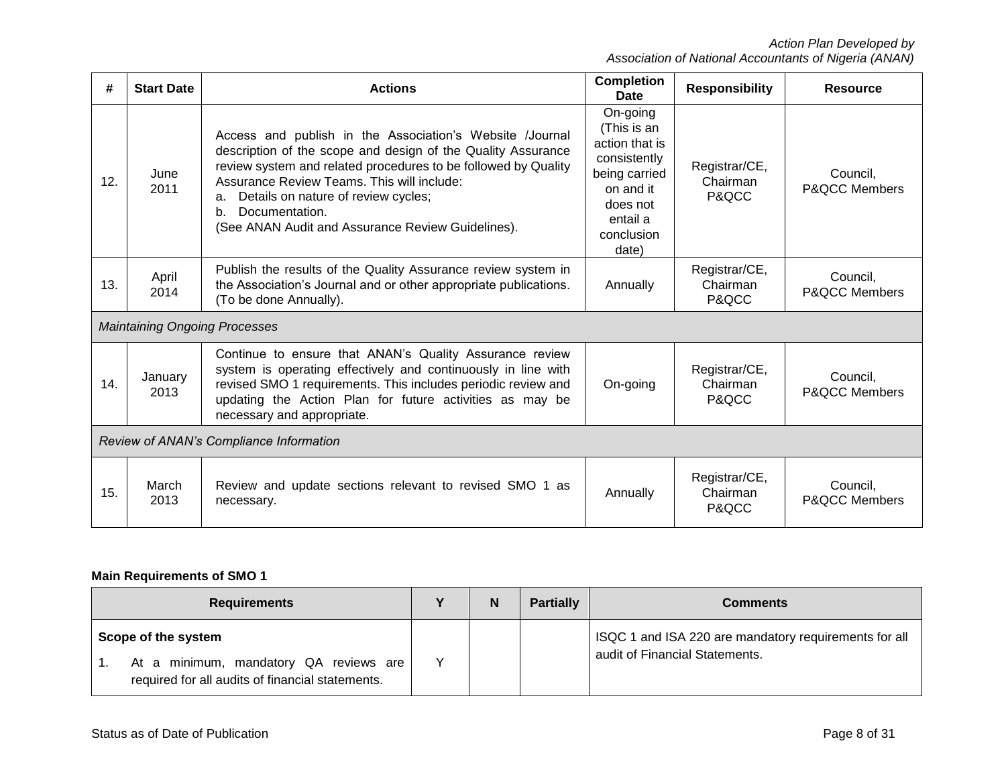| #   | <b>Start Date</b>                       | <b>Actions</b>                                                                                                                                                                                                                                                                                                                                                     | <b>Completion</b><br><b>Date</b>                                                                                                       | <b>Responsibility</b>              | Resource                             |  |
|-----|-----------------------------------------|--------------------------------------------------------------------------------------------------------------------------------------------------------------------------------------------------------------------------------------------------------------------------------------------------------------------------------------------------------------------|----------------------------------------------------------------------------------------------------------------------------------------|------------------------------------|--------------------------------------|--|
| 12. | June<br>2011                            | Access and publish in the Association's Website /Journal<br>description of the scope and design of the Quality Assurance<br>review system and related procedures to be followed by Quality<br>Assurance Review Teams. This will include:<br>Details on nature of review cycles;<br>a.<br>Documentation.<br>b.<br>(See ANAN Audit and Assurance Review Guidelines). | On-going<br>(This is an<br>action that is<br>consistently<br>being carried<br>on and it<br>does not<br>entail a<br>conclusion<br>date) | Registrar/CE,<br>Chairman<br>P&QCC | Council.<br><b>P&amp;QCC Members</b> |  |
| 13. | April<br>2014                           | Publish the results of the Quality Assurance review system in<br>the Association's Journal and or other appropriate publications.<br>(To be done Annually).                                                                                                                                                                                                        | Annually                                                                                                                               | Registrar/CE,<br>Chairman<br>P&QCC | Council,<br><b>P&amp;QCC Members</b> |  |
|     |                                         | <b>Maintaining Ongoing Processes</b>                                                                                                                                                                                                                                                                                                                               |                                                                                                                                        |                                    |                                      |  |
| 14. | January<br>2013                         | Continue to ensure that ANAN's Quality Assurance review<br>system is operating effectively and continuously in line with<br>revised SMO 1 requirements. This includes periodic review and<br>updating the Action Plan for future activities as may be<br>necessary and appropriate.                                                                                | On-going                                                                                                                               | Registrar/CE,<br>Chairman<br>P&QCC | Council,<br><b>P&amp;QCC Members</b> |  |
|     | Review of ANAN's Compliance Information |                                                                                                                                                                                                                                                                                                                                                                    |                                                                                                                                        |                                    |                                      |  |
| 15. | March<br>2013                           | Review and update sections relevant to revised SMO 1 as<br>necessary.                                                                                                                                                                                                                                                                                              | Annually                                                                                                                               | Registrar/CE,<br>Chairman<br>P&QCC | Council.<br><b>P&amp;QCC Members</b> |  |

# **Main Requirements of SMO 1**

| <b>Requirements</b>                                                                                               |  | N | <b>Partially</b> | <b>Comments</b>                                                                         |
|-------------------------------------------------------------------------------------------------------------------|--|---|------------------|-----------------------------------------------------------------------------------------|
| Scope of the system<br>At a minimum, mandatory QA reviews are<br>required for all audits of financial statements. |  |   |                  | ISQC 1 and ISA 220 are mandatory requirements for all<br>audit of Financial Statements. |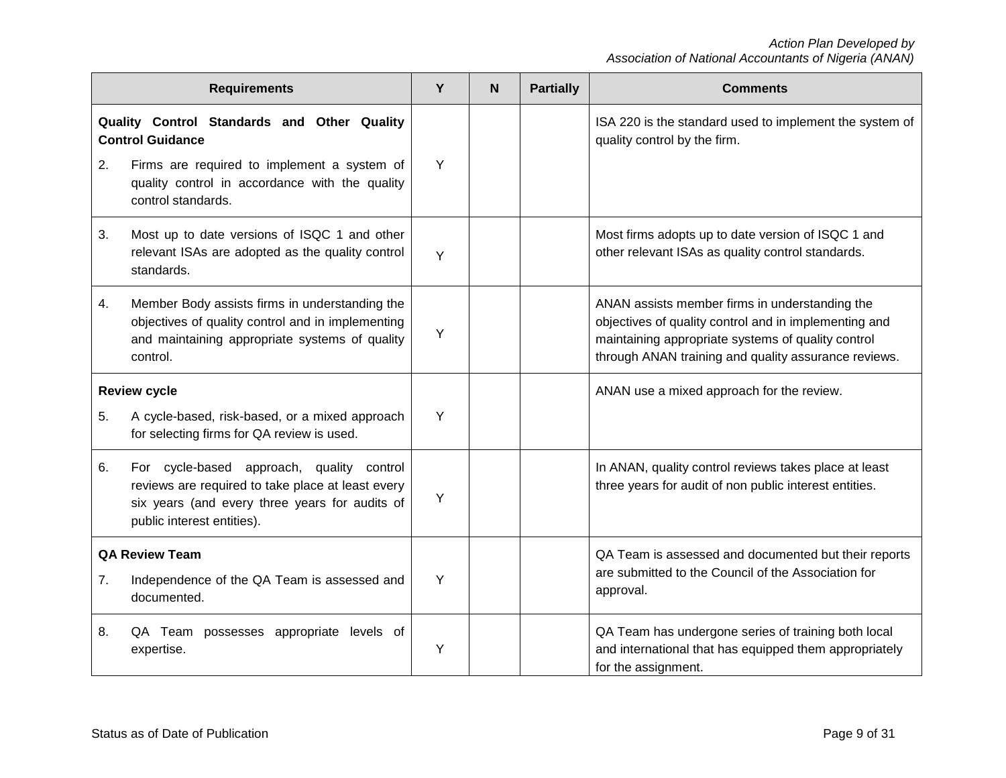|    | <b>Requirements</b>                                                                                                                                                            | Y | N <sub>1</sub> | <b>Partially</b> | <b>Comments</b>                                                                                                                                                                                                       |
|----|--------------------------------------------------------------------------------------------------------------------------------------------------------------------------------|---|----------------|------------------|-----------------------------------------------------------------------------------------------------------------------------------------------------------------------------------------------------------------------|
| 2. | Quality Control Standards and Other Quality<br><b>Control Guidance</b><br>Firms are required to implement a system of                                                          | Y |                |                  | ISA 220 is the standard used to implement the system of<br>quality control by the firm.                                                                                                                               |
|    | quality control in accordance with the quality<br>control standards.                                                                                                           |   |                |                  |                                                                                                                                                                                                                       |
| 3. | Most up to date versions of ISQC 1 and other<br>relevant ISAs are adopted as the quality control<br>standards.                                                                 | Y |                |                  | Most firms adopts up to date version of ISQC 1 and<br>other relevant ISAs as quality control standards.                                                                                                               |
| 4. | Member Body assists firms in understanding the<br>objectives of quality control and in implementing<br>and maintaining appropriate systems of quality<br>control.              | Y |                |                  | ANAN assists member firms in understanding the<br>objectives of quality control and in implementing and<br>maintaining appropriate systems of quality control<br>through ANAN training and quality assurance reviews. |
|    | <b>Review cycle</b>                                                                                                                                                            |   |                |                  | ANAN use a mixed approach for the review.                                                                                                                                                                             |
| 5. | A cycle-based, risk-based, or a mixed approach<br>for selecting firms for QA review is used.                                                                                   | Y |                |                  |                                                                                                                                                                                                                       |
| 6. | For cycle-based approach, quality control<br>reviews are required to take place at least every<br>six years (and every three years for audits of<br>public interest entities). | Y |                |                  | In ANAN, quality control reviews takes place at least<br>three years for audit of non public interest entities.                                                                                                       |
|    | <b>QA Review Team</b>                                                                                                                                                          | Y |                |                  | QA Team is assessed and documented but their reports<br>are submitted to the Council of the Association for                                                                                                           |
| 7. | Independence of the QA Team is assessed and<br>documented.                                                                                                                     |   |                |                  | approval.                                                                                                                                                                                                             |
| 8. | QA Team possesses appropriate levels of<br>expertise.                                                                                                                          | Y |                |                  | QA Team has undergone series of training both local<br>and international that has equipped them appropriately<br>for the assignment.                                                                                  |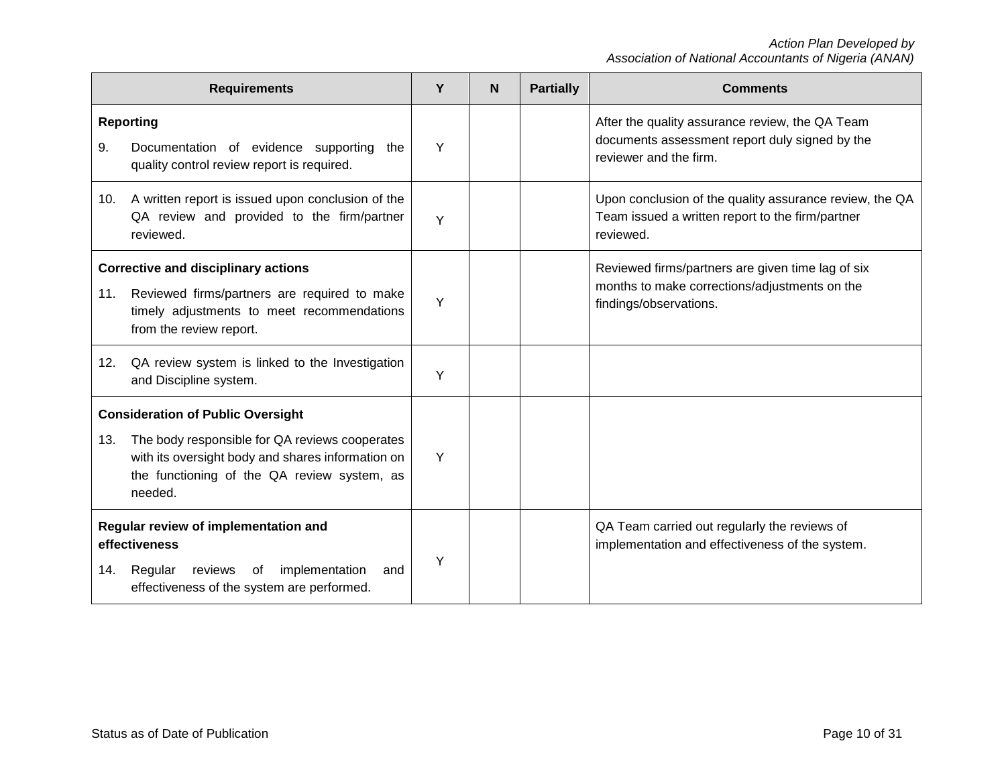| <b>Requirements</b>                                                                                                                                          |                                                                                                                                                                                                           |   | <b>N</b> | <b>Partially</b> | <b>Comments</b>                                                                                                              |
|--------------------------------------------------------------------------------------------------------------------------------------------------------------|-----------------------------------------------------------------------------------------------------------------------------------------------------------------------------------------------------------|---|----------|------------------|------------------------------------------------------------------------------------------------------------------------------|
| 9.                                                                                                                                                           | <b>Reporting</b><br>Documentation of evidence supporting the<br>quality control review report is required.                                                                                                | Y |          |                  | After the quality assurance review, the QA Team<br>documents assessment report duly signed by the<br>reviewer and the firm.  |
| 10.                                                                                                                                                          | A written report is issued upon conclusion of the<br>QA review and provided to the firm/partner<br>reviewed.                                                                                              | Y |          |                  | Upon conclusion of the quality assurance review, the QA<br>Team issued a written report to the firm/partner<br>reviewed.     |
| 11.                                                                                                                                                          | <b>Corrective and disciplinary actions</b><br>Reviewed firms/partners are required to make<br>timely adjustments to meet recommendations<br>from the review report.                                       | Y |          |                  | Reviewed firms/partners are given time lag of six<br>months to make corrections/adjustments on the<br>findings/observations. |
| 12.                                                                                                                                                          | QA review system is linked to the Investigation<br>and Discipline system.                                                                                                                                 | Y |          |                  |                                                                                                                              |
| 13.                                                                                                                                                          | <b>Consideration of Public Oversight</b><br>The body responsible for QA reviews cooperates<br>with its oversight body and shares information on<br>the functioning of the QA review system, as<br>needed. | Y |          |                  |                                                                                                                              |
| Regular review of implementation and<br>effectiveness<br>implementation<br>Regular<br>reviews of<br>and<br>14.<br>effectiveness of the system are performed. |                                                                                                                                                                                                           | Υ |          |                  | QA Team carried out regularly the reviews of<br>implementation and effectiveness of the system.                              |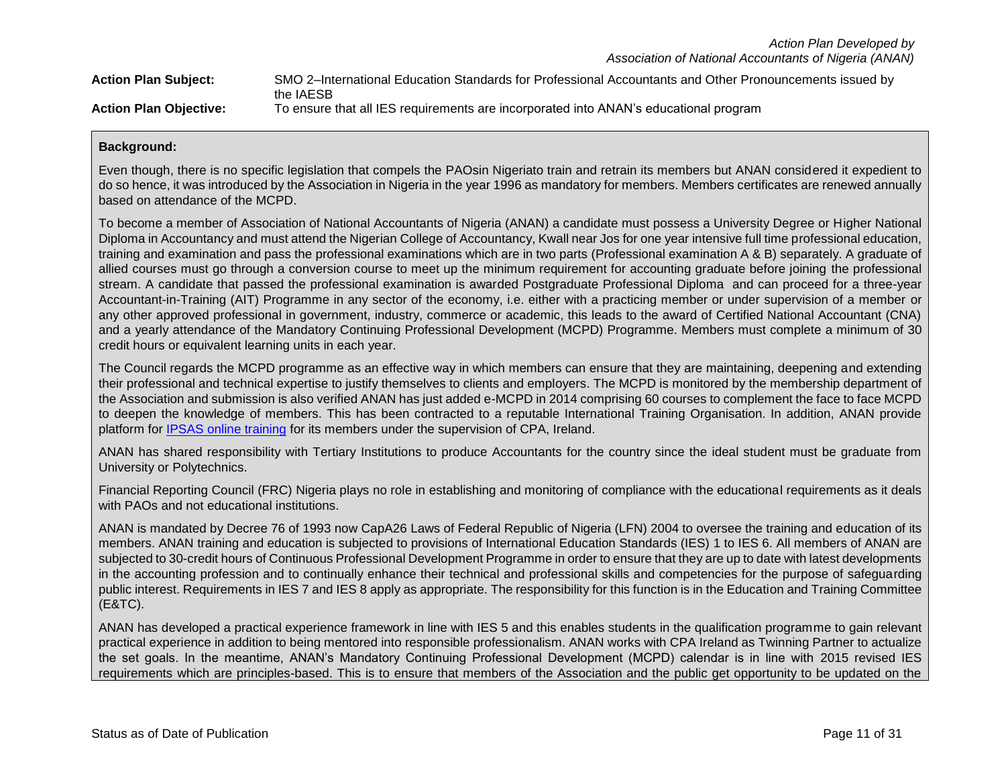| <b>Action Plan Subject:</b>   | SMO 2-International Education Standards for Professional Accountants and Other Pronouncements issued by |
|-------------------------------|---------------------------------------------------------------------------------------------------------|
|                               | the IAESB                                                                                               |
| <b>Action Plan Objective:</b> | To ensure that all IES requirements are incorporated into ANAN's educational program                    |

Even though, there is no specific legislation that compels the PAOsin Nigeriato train and retrain its members but ANAN considered it expedient to do so hence, it was introduced by the Association in Nigeria in the year 1996 as mandatory for members. Members certificates are renewed annually based on attendance of the MCPD.

To become a member of Association of National Accountants of Nigeria (ANAN) a candidate must possess a University Degree or Higher National Diploma in Accountancy and must attend the Nigerian College of Accountancy, Kwall near Jos for one year intensive full time professional education, training and examination and pass the professional examinations which are in two parts (Professional examination A & B) separately. A graduate of allied courses must go through a conversion course to meet up the minimum requirement for accounting graduate before joining the professional stream. A candidate that passed the professional examination is awarded Postgraduate Professional Diploma and can proceed for a three-year Accountant-in-Training (AIT) Programme in any sector of the economy, i.e. either with a practicing member or under supervision of a member or any other approved professional in government, industry, commerce or academic, this leads to the award of Certified National Accountant (CNA) and a yearly attendance of the Mandatory Continuing Professional Development (MCPD) Programme. Members must complete a minimum of 30 credit hours or equivalent learning units in each year.

The Council regards the MCPD programme as an effective way in which members can ensure that they are maintaining, deepening and extending their professional and technical expertise to justify themselves to clients and employers. The MCPD is monitored by the membership department of the Association and submission is also verified ANAN has just added e-MCPD in 2014 comprising 60 courses to complement the face to face MCPD to deepen the knowledge of members. This has been contracted to a reputable International Training Organisation. In addition, ANAN provide platform for [IPSAS online training](http://www.ananipsas.net/) for its members under the supervision of CPA, Ireland.

ANAN has shared responsibility with Tertiary Institutions to produce Accountants for the country since the ideal student must be graduate from University or Polytechnics.

Financial Reporting Council (FRC) Nigeria plays no role in establishing and monitoring of compliance with the educational requirements as it deals with PAOs and not educational institutions.

ANAN is mandated by Decree 76 of 1993 now CapA26 Laws of Federal Republic of Nigeria (LFN) 2004 to oversee the training and education of its members. ANAN training and education is subjected to provisions of International Education Standards (IES) 1 to IES 6. All members of ANAN are subjected to 30-credit hours of Continuous Professional Development Programme in order to ensure that they are up to date with latest developments in the accounting profession and to continually enhance their technical and professional skills and competencies for the purpose of safeguarding public interest. Requirements in IES 7 and IES 8 apply as appropriate. The responsibility for this function is in the Education and Training Committee (E&TC).

ANAN has developed a practical experience framework in line with IES 5 and this enables students in the qualification programme to gain relevant practical experience in addition to being mentored into responsible professionalism. ANAN works with CPA Ireland as Twinning Partner to actualize the set goals. In the meantime, ANAN's Mandatory Continuing Professional Development (MCPD) calendar is in line with 2015 revised IES requirements which are principles-based. This is to ensure that members of the Association and the public get opportunity to be updated on the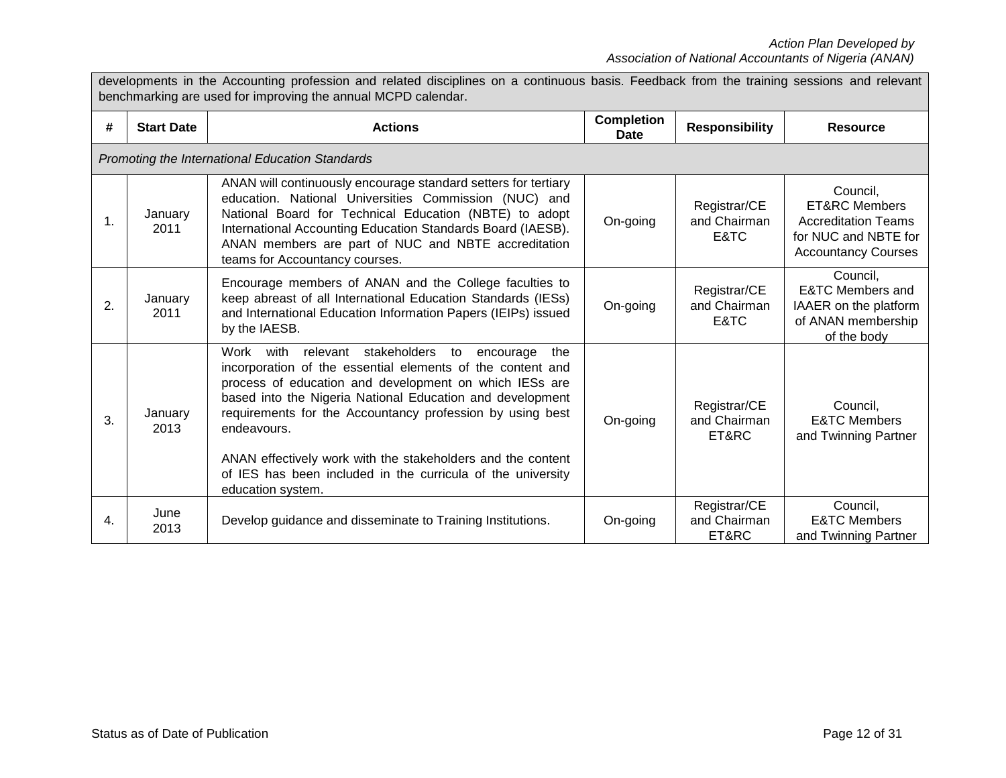| benchmarking are used for improving the annual MCPD calendar. |                   |                                                                                                                                                                                                                                                                                                                                                                                                                                                                               |                           |                                       |                                                                                                                          |
|---------------------------------------------------------------|-------------------|-------------------------------------------------------------------------------------------------------------------------------------------------------------------------------------------------------------------------------------------------------------------------------------------------------------------------------------------------------------------------------------------------------------------------------------------------------------------------------|---------------------------|---------------------------------------|--------------------------------------------------------------------------------------------------------------------------|
| #                                                             | <b>Start Date</b> | <b>Actions</b>                                                                                                                                                                                                                                                                                                                                                                                                                                                                | <b>Completion</b><br>Date | <b>Responsibility</b>                 | <b>Resource</b>                                                                                                          |
|                                                               |                   | Promoting the International Education Standards                                                                                                                                                                                                                                                                                                                                                                                                                               |                           |                                       |                                                                                                                          |
| 1.                                                            | January<br>2011   | ANAN will continuously encourage standard setters for tertiary<br>education. National Universities Commission (NUC) and<br>National Board for Technical Education (NBTE) to adopt<br>International Accounting Education Standards Board (IAESB).<br>ANAN members are part of NUC and NBTE accreditation<br>teams for Accountancy courses.                                                                                                                                     | On-going                  | Registrar/CE<br>and Chairman<br>E&TC  | Council,<br><b>ET&amp;RC Members</b><br><b>Accreditation Teams</b><br>for NUC and NBTE for<br><b>Accountancy Courses</b> |
| 2.                                                            | January<br>2011   | Encourage members of ANAN and the College faculties to<br>keep abreast of all International Education Standards (IESs)<br>and International Education Information Papers (IEIPs) issued<br>by the IAESB.                                                                                                                                                                                                                                                                      | On-going                  | Registrar/CE<br>and Chairman<br>E&TC  | Council,<br><b>E&amp;TC Members and</b><br>IAAER on the platform<br>of ANAN membership<br>of the body                    |
| 3.                                                            | January<br>2013   | Work<br>with<br>relevant stakeholders to encourage<br>the<br>incorporation of the essential elements of the content and<br>process of education and development on which IESs are<br>based into the Nigeria National Education and development<br>requirements for the Accountancy profession by using best<br>endeavours.<br>ANAN effectively work with the stakeholders and the content<br>of IES has been included in the curricula of the university<br>education system. | On-going                  | Registrar/CE<br>and Chairman<br>ET&RC | Council,<br><b>E&amp;TC Members</b><br>and Twinning Partner                                                              |
| 4.                                                            | June<br>2013      | Develop guidance and disseminate to Training Institutions.                                                                                                                                                                                                                                                                                                                                                                                                                    | On-going                  | Registrar/CE<br>and Chairman<br>ET&RC | Council,<br><b>E&amp;TC Members</b><br>and Twinning Partner                                                              |

developments in the Accounting profession and related disciplines on a continuous basis. Feedback from the training sessions and relevant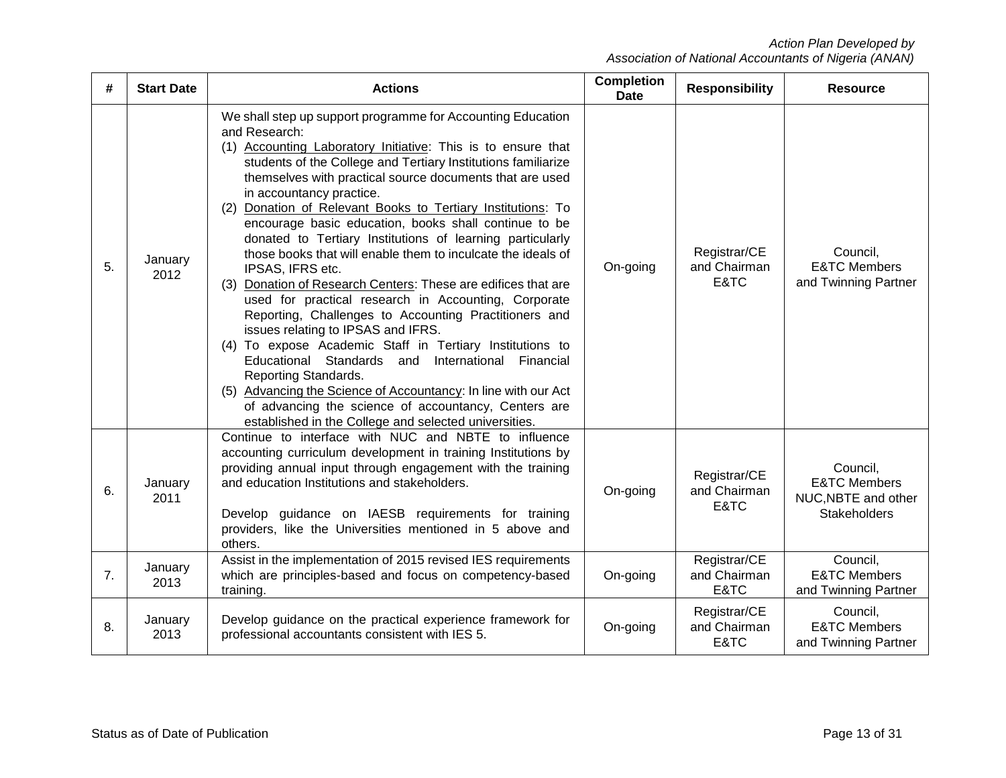| #  | <b>Start Date</b> | <b>Actions</b>                                                                                                                                                                                                                                                                                                                                                                                                                                                                                                                                                                                                                                                                                                                                                                                                                                                                                                                                                                                                                                                                                                                           | <b>Completion</b><br><b>Date</b> | <b>Responsibility</b>                | <b>Resource</b>                                                                   |
|----|-------------------|------------------------------------------------------------------------------------------------------------------------------------------------------------------------------------------------------------------------------------------------------------------------------------------------------------------------------------------------------------------------------------------------------------------------------------------------------------------------------------------------------------------------------------------------------------------------------------------------------------------------------------------------------------------------------------------------------------------------------------------------------------------------------------------------------------------------------------------------------------------------------------------------------------------------------------------------------------------------------------------------------------------------------------------------------------------------------------------------------------------------------------------|----------------------------------|--------------------------------------|-----------------------------------------------------------------------------------|
| 5. | January<br>2012   | We shall step up support programme for Accounting Education<br>and Research:<br>(1) Accounting Laboratory Initiative: This is to ensure that<br>students of the College and Tertiary Institutions familiarize<br>themselves with practical source documents that are used<br>in accountancy practice.<br>Donation of Relevant Books to Tertiary Institutions: To<br>(2)<br>encourage basic education, books shall continue to be<br>donated to Tertiary Institutions of learning particularly<br>those books that will enable them to inculcate the ideals of<br>IPSAS, IFRS etc.<br>Donation of Research Centers: These are edifices that are<br>(3)<br>used for practical research in Accounting, Corporate<br>Reporting, Challenges to Accounting Practitioners and<br>issues relating to IPSAS and IFRS.<br>(4) To expose Academic Staff in Tertiary Institutions to<br>Educational Standards and International Financial<br>Reporting Standards.<br>(5) Advancing the Science of Accountancy: In line with our Act<br>of advancing the science of accountancy, Centers are<br>established in the College and selected universities. | On-going                         | Registrar/CE<br>and Chairman<br>E&TC | Council,<br><b>E&amp;TC Members</b><br>and Twinning Partner                       |
| 6. | January<br>2011   | Continue to interface with NUC and NBTE to influence<br>accounting curriculum development in training Institutions by<br>providing annual input through engagement with the training<br>and education Institutions and stakeholders.<br>Develop guidance on IAESB requirements for training<br>providers, like the Universities mentioned in 5 above and<br>others.                                                                                                                                                                                                                                                                                                                                                                                                                                                                                                                                                                                                                                                                                                                                                                      | On-going                         | Registrar/CE<br>and Chairman<br>E&TC | Council,<br><b>E&amp;TC Members</b><br>NUC, NBTE and other<br><b>Stakeholders</b> |
| 7. | January<br>2013   | Assist in the implementation of 2015 revised IES requirements<br>which are principles-based and focus on competency-based<br>training.                                                                                                                                                                                                                                                                                                                                                                                                                                                                                                                                                                                                                                                                                                                                                                                                                                                                                                                                                                                                   | On-going                         | Registrar/CE<br>and Chairman<br>E&TC | Council,<br><b>E&amp;TC Members</b><br>and Twinning Partner                       |
| 8. | January<br>2013   | Develop guidance on the practical experience framework for<br>professional accountants consistent with IES 5.                                                                                                                                                                                                                                                                                                                                                                                                                                                                                                                                                                                                                                                                                                                                                                                                                                                                                                                                                                                                                            | On-going                         | Registrar/CE<br>and Chairman<br>E&TC | Council,<br><b>E&amp;TC Members</b><br>and Twinning Partner                       |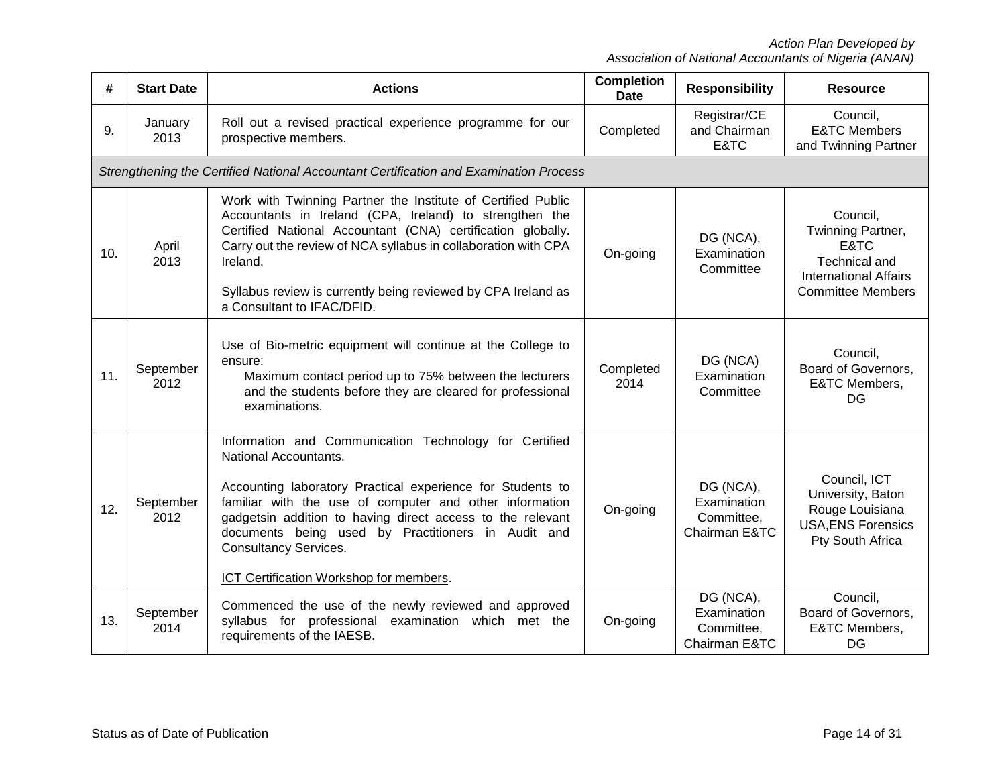| #   | <b>Start Date</b> | <b>Actions</b>                                                                                                                                                                                                                                                                                                                                                                                          | <b>Completion</b><br><b>Date</b> | <b>Responsibility</b>                                   | <b>Resource</b>                                                                                                    |
|-----|-------------------|---------------------------------------------------------------------------------------------------------------------------------------------------------------------------------------------------------------------------------------------------------------------------------------------------------------------------------------------------------------------------------------------------------|----------------------------------|---------------------------------------------------------|--------------------------------------------------------------------------------------------------------------------|
| 9.  | January<br>2013   | Roll out a revised practical experience programme for our<br>prospective members.                                                                                                                                                                                                                                                                                                                       | Completed                        | Registrar/CE<br>and Chairman<br>E&TC                    | Council,<br><b>E&amp;TC Members</b><br>and Twinning Partner                                                        |
|     |                   | Strengthening the Certified National Accountant Certification and Examination Process                                                                                                                                                                                                                                                                                                                   |                                  |                                                         |                                                                                                                    |
| 10. | April<br>2013     | Work with Twinning Partner the Institute of Certified Public<br>Accountants in Ireland (CPA, Ireland) to strengthen the<br>Certified National Accountant (CNA) certification globally.<br>Carry out the review of NCA syllabus in collaboration with CPA<br>Ireland.<br>Syllabus review is currently being reviewed by CPA Ireland as<br>a Consultant to IFAC/DFID.                                     | On-going                         | DG (NCA),<br>Examination<br>Committee                   | Council,<br>Twinning Partner,<br>E&TC<br>Technical and<br><b>International Affairs</b><br><b>Committee Members</b> |
| 11. | September<br>2012 | Use of Bio-metric equipment will continue at the College to<br>ensure:<br>Maximum contact period up to 75% between the lecturers<br>and the students before they are cleared for professional<br>examinations.                                                                                                                                                                                          | Completed<br>2014                | DG (NCA)<br>Examination<br>Committee                    | Council,<br>Board of Governors,<br>E&TC Members,<br>DG                                                             |
| 12. | September<br>2012 | Information and Communication Technology for Certified<br>National Accountants.<br>Accounting laboratory Practical experience for Students to<br>familiar with the use of computer and other information<br>gadgetsin addition to having direct access to the relevant<br>documents being used by Practitioners in Audit and<br><b>Consultancy Services.</b><br>ICT Certification Workshop for members. | On-going                         | DG (NCA),<br>Examination<br>Committee,<br>Chairman E&TC | Council, ICT<br>University, Baton<br>Rouge Louisiana<br><b>USA, ENS Forensics</b><br>Pty South Africa              |
| 13. | September<br>2014 | Commenced the use of the newly reviewed and approved<br>syllabus for professional<br>examination which met the<br>requirements of the IAESB.                                                                                                                                                                                                                                                            | On-going                         | DG (NCA),<br>Examination<br>Committee,<br>Chairman E&TC | Council,<br>Board of Governors,<br>E&TC Members,<br>DG                                                             |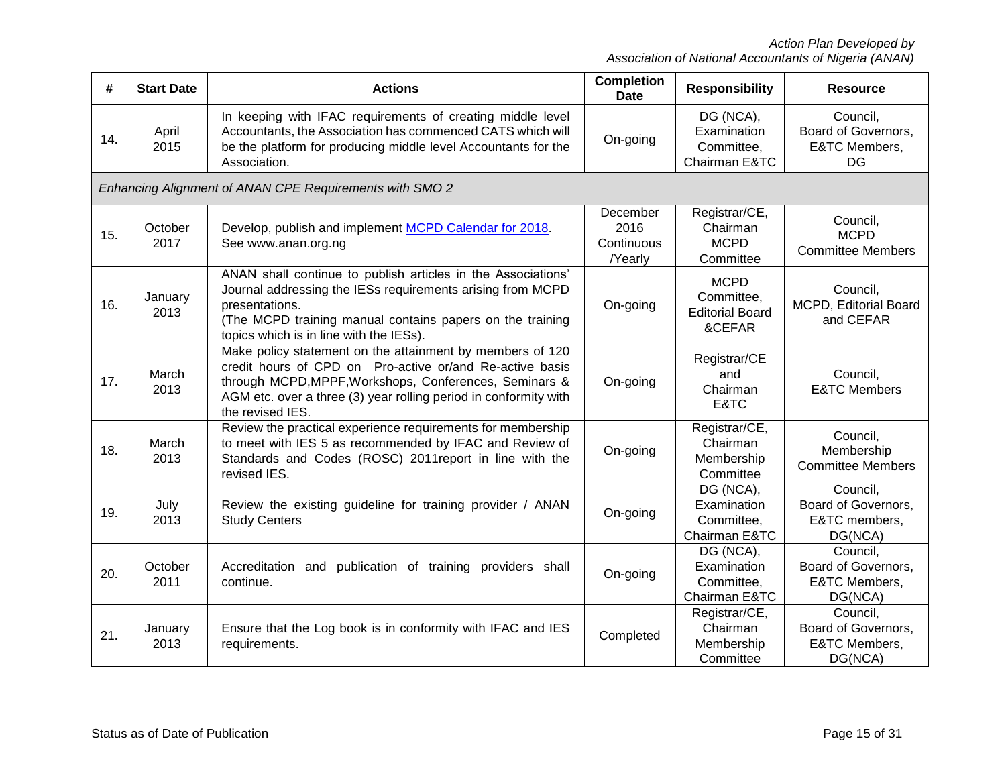| #   | <b>Start Date</b> | <b>Actions</b>                                                                                                                                                                                                                                                          | <b>Completion</b><br><b>Date</b>          | <b>Responsibility</b>                                         | <b>Resource</b>                                               |
|-----|-------------------|-------------------------------------------------------------------------------------------------------------------------------------------------------------------------------------------------------------------------------------------------------------------------|-------------------------------------------|---------------------------------------------------------------|---------------------------------------------------------------|
| 14. | April<br>2015     | In keeping with IFAC requirements of creating middle level<br>Accountants, the Association has commenced CATS which will<br>be the platform for producing middle level Accountants for the<br>Association.                                                              | On-going                                  | DG (NCA),<br>Examination<br>Committee,<br>Chairman E&TC       | Council,<br>Board of Governors,<br>E&TC Members,<br><b>DG</b> |
|     |                   | Enhancing Alignment of ANAN CPE Requirements with SMO 2                                                                                                                                                                                                                 |                                           |                                                               |                                                               |
| 15. | October<br>2017   | Develop, publish and implement MCPD Calendar for 2018.<br>See www.anan.org.ng                                                                                                                                                                                           | December<br>2016<br>Continuous<br>/Yearly | Registrar/CE,<br>Chairman<br><b>MCPD</b><br>Committee         | Council,<br><b>MCPD</b><br><b>Committee Members</b>           |
| 16. | January<br>2013   | ANAN shall continue to publish articles in the Associations'<br>Journal addressing the IESs requirements arising from MCPD<br>presentations.<br>(The MCPD training manual contains papers on the training<br>topics which is in line with the IESs).                    | On-going                                  | <b>MCPD</b><br>Committee,<br><b>Editorial Board</b><br>&CEFAR | Council,<br>MCPD, Editorial Board<br>and CEFAR                |
| 17. | March<br>2013     | Make policy statement on the attainment by members of 120<br>credit hours of CPD on Pro-active or/and Re-active basis<br>through MCPD, MPPF, Workshops, Conferences, Seminars &<br>AGM etc. over a three (3) year rolling period in conformity with<br>the revised IES. | On-going                                  | Registrar/CE<br>and<br>Chairman<br>E&TC                       | Council,<br><b>E&amp;TC Members</b>                           |
| 18. | March<br>2013     | Review the practical experience requirements for membership<br>to meet with IES 5 as recommended by IFAC and Review of<br>Standards and Codes (ROSC) 2011 report in line with the<br>revised IES.                                                                       | On-going                                  | Registrar/CE,<br>Chairman<br>Membership<br>Committee          | Council,<br>Membership<br><b>Committee Members</b>            |
| 19. | July<br>2013      | Review the existing guideline for training provider / ANAN<br><b>Study Centers</b>                                                                                                                                                                                      | On-going                                  | DG (NCA),<br>Examination<br>Committee,<br>Chairman E&TC       | Council,<br>Board of Governors,<br>E&TC members,<br>DG(NCA)   |
| 20. | October<br>2011   | Accreditation and<br>publication of training providers shall<br>continue.                                                                                                                                                                                               | On-going                                  | DG (NCA),<br>Examination<br>Committee,<br>Chairman E&TC       | Council,<br>Board of Governors,<br>E&TC Members,<br>DG(NCA)   |
| 21. | January<br>2013   | Ensure that the Log book is in conformity with IFAC and IES<br>requirements.                                                                                                                                                                                            | Completed                                 | Registrar/CE,<br>Chairman<br>Membership<br>Committee          | Council,<br>Board of Governors,<br>E&TC Members,<br>DG(NCA)   |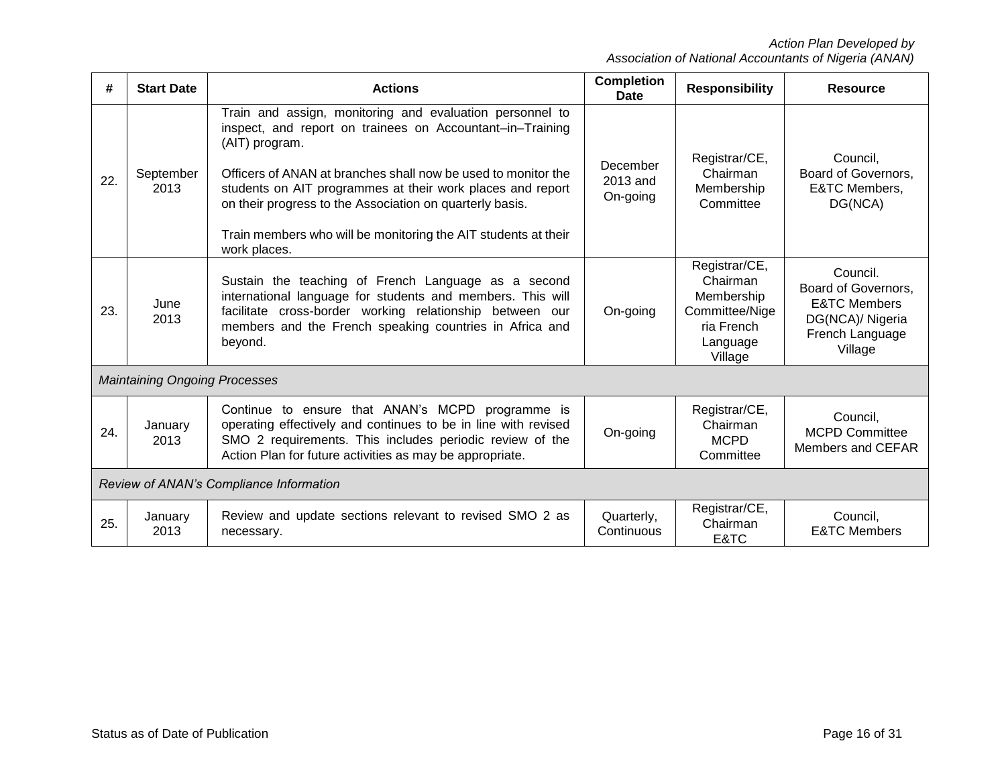| #                                       | <b>Start Date</b>                    | <b>Actions</b>                                                                                                                                                                                                                                                                                                                                                                                                       | <b>Completion</b><br><b>Date</b> | <b>Responsibility</b>                                                                          | <b>Resource</b>                                                                                              |
|-----------------------------------------|--------------------------------------|----------------------------------------------------------------------------------------------------------------------------------------------------------------------------------------------------------------------------------------------------------------------------------------------------------------------------------------------------------------------------------------------------------------------|----------------------------------|------------------------------------------------------------------------------------------------|--------------------------------------------------------------------------------------------------------------|
| 22.                                     | September<br>2013                    | Train and assign, monitoring and evaluation personnel to<br>inspect, and report on trainees on Accountant-in-Training<br>(AIT) program.<br>Officers of ANAN at branches shall now be used to monitor the<br>students on AIT programmes at their work places and report<br>on their progress to the Association on quarterly basis.<br>Train members who will be monitoring the AIT students at their<br>work places. | December<br>2013 and<br>On-going | Registrar/CE,<br>Chairman<br>Membership<br>Committee                                           | Council,<br>Board of Governors,<br><b>E&amp;TC Members,</b><br>DG(NCA)                                       |
| 23.                                     | June<br>2013                         | Sustain the teaching of French Language as a second<br>international language for students and members. This will<br>facilitate cross-border working relationship between our<br>members and the French speaking countries in Africa and<br>beyond.                                                                                                                                                                  | On-going                         | Registrar/CE,<br>Chairman<br>Membership<br>Committee/Nige<br>ria French<br>Language<br>Village | Council.<br>Board of Governors,<br><b>E&amp;TC Members</b><br>DG(NCA)/ Nigeria<br>French Language<br>Village |
|                                         | <b>Maintaining Ongoing Processes</b> |                                                                                                                                                                                                                                                                                                                                                                                                                      |                                  |                                                                                                |                                                                                                              |
| 24.                                     | January<br>2013                      | Continue to ensure that ANAN's MCPD programme is<br>operating effectively and continues to be in line with revised<br>SMO 2 requirements. This includes periodic review of the<br>Action Plan for future activities as may be appropriate.                                                                                                                                                                           | On-going                         | Registrar/CE,<br>Chairman<br><b>MCPD</b><br>Committee                                          | Council,<br><b>MCPD Committee</b><br>Members and CEFAR                                                       |
| Review of ANAN's Compliance Information |                                      |                                                                                                                                                                                                                                                                                                                                                                                                                      |                                  |                                                                                                |                                                                                                              |
| 25.                                     | January<br>2013                      | Review and update sections relevant to revised SMO 2 as<br>necessary.                                                                                                                                                                                                                                                                                                                                                | Quarterly,<br>Continuous         | Registrar/CE,<br>Chairman<br>E&TC                                                              | Council,<br><b>E&amp;TC Members</b>                                                                          |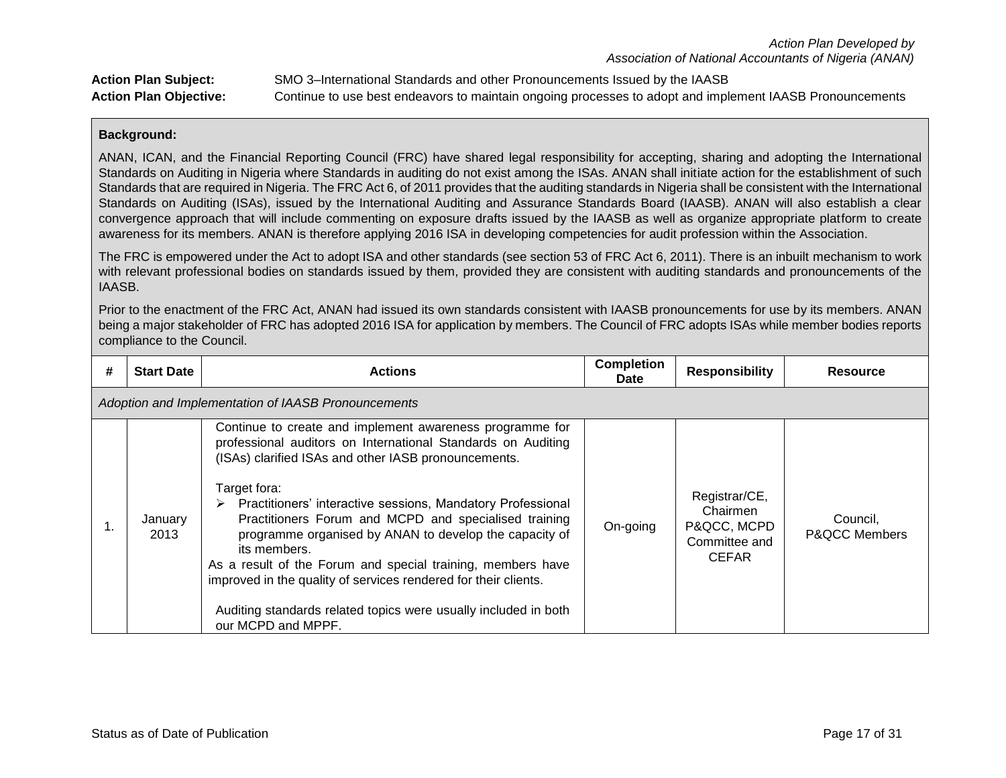| <b>Action Plan Subject:</b>   | SMO 3-International Standards and other Pronouncements Issued by the IAASB                               |
|-------------------------------|----------------------------------------------------------------------------------------------------------|
| <b>Action Plan Objective:</b> | Continue to use best endeavors to maintain ongoing processes to adopt and implement IAASB Pronouncements |

ANAN, ICAN, and the Financial Reporting Council (FRC) have shared legal responsibility for accepting, sharing and adopting the International Standards on Auditing in Nigeria where Standards in auditing do not exist among the ISAs. ANAN shall initiate action for the establishment of such Standards that are required in Nigeria. The FRC Act 6, of 2011 provides that the auditing standards in Nigeria shall be consistent with the International Standards on Auditing (ISAs), issued by the International Auditing and Assurance Standards Board (IAASB). ANAN will also establish a clear convergence approach that will include commenting on exposure drafts issued by the IAASB as well as organize appropriate platform to create awareness for its members. ANAN is therefore applying 2016 ISA in developing competencies for audit profession within the Association.

The FRC is empowered under the Act to adopt ISA and other standards (see section 53 of FRC Act 6, 2011). There is an inbuilt mechanism to work with relevant professional bodies on standards issued by them, provided they are consistent with auditing standards and pronouncements of the IAASB.

Prior to the enactment of the FRC Act, ANAN had issued its own standards consistent with IAASB pronouncements for use by its members. ANAN being a major stakeholder of FRC has adopted 2016 ISA for application by members. The Council of FRC adopts ISAs while member bodies reports compliance to the Council.

| # | <b>Start Date</b>                                   | <b>Actions</b>                                                                                                                                                                                                                                                                                                                                                                                                                                                                                                                                                                                                                  | <b>Completion</b><br><b>Date</b> | <b>Responsibility</b>                                                     | <b>Resource</b>                      |  |  |
|---|-----------------------------------------------------|---------------------------------------------------------------------------------------------------------------------------------------------------------------------------------------------------------------------------------------------------------------------------------------------------------------------------------------------------------------------------------------------------------------------------------------------------------------------------------------------------------------------------------------------------------------------------------------------------------------------------------|----------------------------------|---------------------------------------------------------------------------|--------------------------------------|--|--|
|   | Adoption and Implementation of IAASB Pronouncements |                                                                                                                                                                                                                                                                                                                                                                                                                                                                                                                                                                                                                                 |                                  |                                                                           |                                      |  |  |
|   | January<br>2013                                     | Continue to create and implement awareness programme for<br>professional auditors on International Standards on Auditing<br>(ISAs) clarified ISAs and other IASB pronouncements.<br>Target fora:<br>> Practitioners' interactive sessions, Mandatory Professional<br>Practitioners Forum and MCPD and specialised training<br>programme organised by ANAN to develop the capacity of<br>its members.<br>As a result of the Forum and special training, members have<br>improved in the quality of services rendered for their clients.<br>Auditing standards related topics were usually included in both<br>our MCPD and MPPF. | On-going                         | Registrar/CE,<br>Chairmen<br>P&QCC, MCPD<br>Committee and<br><b>CEFAR</b> | Council.<br><b>P&amp;OCC Members</b> |  |  |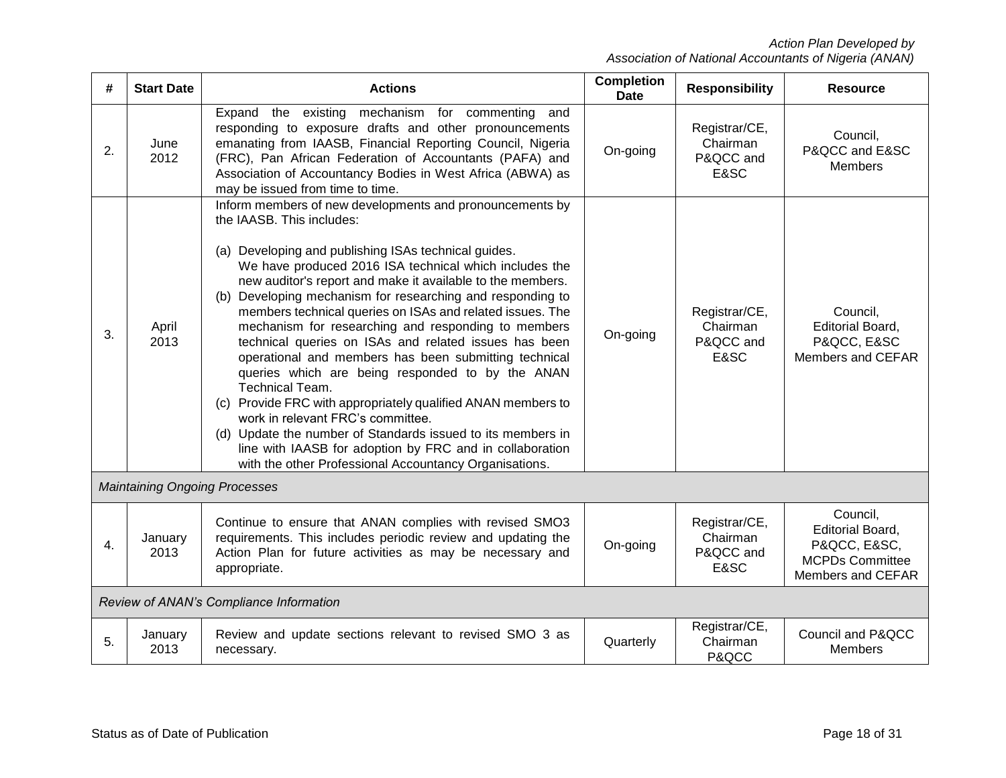| #  | <b>Start Date</b>                       | <b>Actions</b>                                                                                                                                                                                                                                                                                                                                                                                                                                                                                                                                                                                                                                                                                                                                                                                                                                                                                                                                    | <b>Completion</b><br><b>Date</b> | <b>Responsibility</b>                          | <b>Resource</b>                                                                             |
|----|-----------------------------------------|---------------------------------------------------------------------------------------------------------------------------------------------------------------------------------------------------------------------------------------------------------------------------------------------------------------------------------------------------------------------------------------------------------------------------------------------------------------------------------------------------------------------------------------------------------------------------------------------------------------------------------------------------------------------------------------------------------------------------------------------------------------------------------------------------------------------------------------------------------------------------------------------------------------------------------------------------|----------------------------------|------------------------------------------------|---------------------------------------------------------------------------------------------|
| 2. | June<br>2012                            | Expand the existing mechanism for commenting<br>and<br>responding to exposure drafts and other pronouncements<br>emanating from IAASB, Financial Reporting Council, Nigeria<br>(FRC), Pan African Federation of Accountants (PAFA) and<br>Association of Accountancy Bodies in West Africa (ABWA) as<br>may be issued from time to time.                                                                                                                                                                                                                                                                                                                                                                                                                                                                                                                                                                                                          | On-going                         | Registrar/CE,<br>Chairman<br>P&QCC and<br>E&SC | Council,<br>P&QCC and E&SC<br><b>Members</b>                                                |
| 3. | April<br>2013                           | Inform members of new developments and pronouncements by<br>the IAASB. This includes:<br>(a) Developing and publishing ISAs technical guides.<br>We have produced 2016 ISA technical which includes the<br>new auditor's report and make it available to the members.<br>(b) Developing mechanism for researching and responding to<br>members technical queries on ISAs and related issues. The<br>mechanism for researching and responding to members<br>technical queries on ISAs and related issues has been<br>operational and members has been submitting technical<br>queries which are being responded to by the ANAN<br><b>Technical Team.</b><br>(c) Provide FRC with appropriately qualified ANAN members to<br>work in relevant FRC's committee.<br>(d) Update the number of Standards issued to its members in<br>line with IAASB for adoption by FRC and in collaboration<br>with the other Professional Accountancy Organisations. | On-going                         | Registrar/CE,<br>Chairman<br>P&QCC and<br>E&SC | Council,<br><b>Editorial Board,</b><br>P&QCC, E&SC<br>Members and CEFAR                     |
|    |                                         | <b>Maintaining Ongoing Processes</b>                                                                                                                                                                                                                                                                                                                                                                                                                                                                                                                                                                                                                                                                                                                                                                                                                                                                                                              |                                  |                                                |                                                                                             |
| 4. | January<br>2013                         | Continue to ensure that ANAN complies with revised SMO3<br>requirements. This includes periodic review and updating the<br>Action Plan for future activities as may be necessary and<br>appropriate.                                                                                                                                                                                                                                                                                                                                                                                                                                                                                                                                                                                                                                                                                                                                              | On-going                         | Registrar/CE,<br>Chairman<br>P&QCC and<br>E&SC | Council,<br>Editorial Board,<br>P&QCC, E&SC,<br><b>MCPDs Committee</b><br>Members and CEFAR |
|    | Review of ANAN's Compliance Information |                                                                                                                                                                                                                                                                                                                                                                                                                                                                                                                                                                                                                                                                                                                                                                                                                                                                                                                                                   |                                  |                                                |                                                                                             |
| 5. | January<br>2013                         | Review and update sections relevant to revised SMO 3 as<br>necessary.                                                                                                                                                                                                                                                                                                                                                                                                                                                                                                                                                                                                                                                                                                                                                                                                                                                                             | Quarterly                        | Registrar/CE,<br>Chairman<br>P&QCC             | Council and P&QCC<br><b>Members</b>                                                         |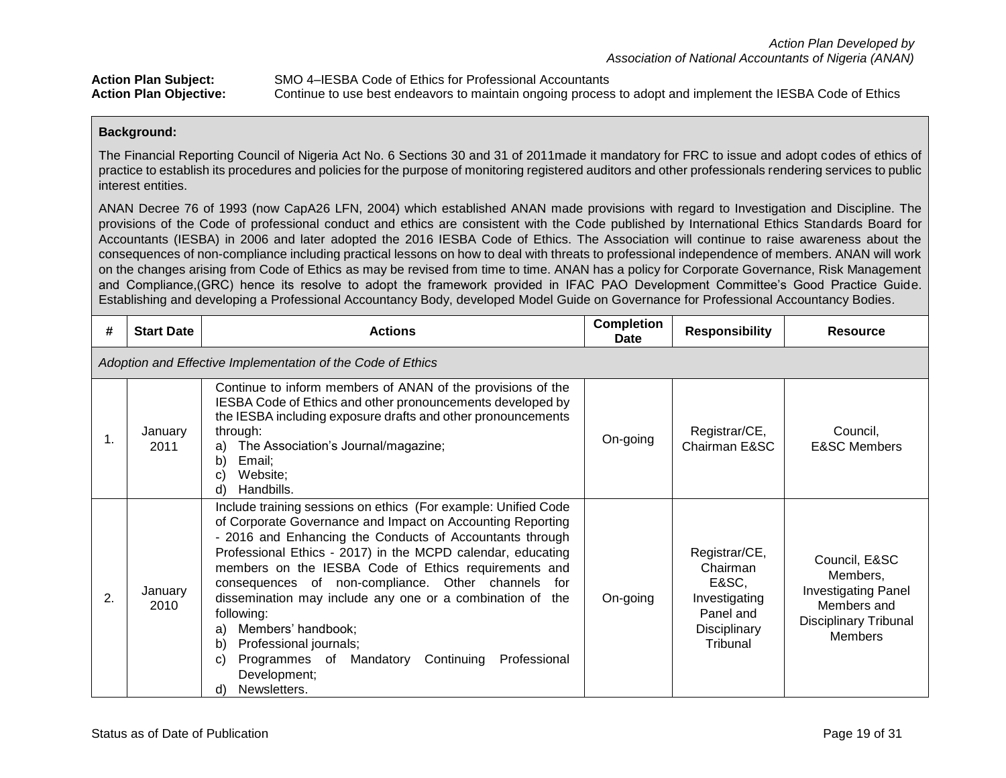| <b>Action Plan Subject:</b>   | SMO 4–IESBA Code of Ethics for Professional Accountants                                                    |
|-------------------------------|------------------------------------------------------------------------------------------------------------|
| <b>Action Plan Objective:</b> | Continue to use best endeavors to maintain ongoing process to adopt and implement the IESBA Code of Ethics |

The Financial Reporting Council of Nigeria Act No. 6 Sections 30 and 31 of 2011made it mandatory for FRC to issue and adopt codes of ethics of practice to establish its procedures and policies for the purpose of monitoring registered auditors and other professionals rendering services to public interest entities.

ANAN Decree 76 of 1993 (now CapA26 LFN, 2004) which established ANAN made provisions with regard to Investigation and Discipline. The provisions of the Code of professional conduct and ethics are consistent with the Code published by International Ethics Standards Board for Accountants (IESBA) in 2006 and later adopted the 2016 IESBA Code of Ethics. The Association will continue to raise awareness about the consequences of non-compliance including practical lessons on how to deal with threats to professional independence of members. ANAN will work on the changes arising from Code of Ethics as may be revised from time to time. ANAN has a policy for Corporate Governance, Risk Management and Compliance,(GRC) hence its resolve to adopt the framework provided in IFAC PAO Development Committee's Good Practice Guide. Establishing and developing a Professional Accountancy Body, developed Model Guide on Governance for Professional Accountancy Bodies*.*

| #  | <b>Start Date</b>                                           | <b>Actions</b>                                                                                                                                                                                                                                                                                                                                                                                                                                                                                                                                                                                                       | <b>Completion</b><br><b>Date</b> | <b>Responsibility</b>                                                                        | <b>Resource</b>                                                                                                          |  |  |
|----|-------------------------------------------------------------|----------------------------------------------------------------------------------------------------------------------------------------------------------------------------------------------------------------------------------------------------------------------------------------------------------------------------------------------------------------------------------------------------------------------------------------------------------------------------------------------------------------------------------------------------------------------------------------------------------------------|----------------------------------|----------------------------------------------------------------------------------------------|--------------------------------------------------------------------------------------------------------------------------|--|--|
|    | Adoption and Effective Implementation of the Code of Ethics |                                                                                                                                                                                                                                                                                                                                                                                                                                                                                                                                                                                                                      |                                  |                                                                                              |                                                                                                                          |  |  |
| 1. | January<br>2011                                             | Continue to inform members of ANAN of the provisions of the<br>IESBA Code of Ethics and other pronouncements developed by<br>the IESBA including exposure drafts and other pronouncements<br>through:<br>The Association's Journal/magazine;<br>a)<br>b)<br>Email;<br>Website;<br>C)<br>d)<br>Handbills.                                                                                                                                                                                                                                                                                                             | On-going                         | Registrar/CE,<br>Chairman E&SC                                                               | Council,<br><b>E&amp;SC Members</b>                                                                                      |  |  |
| 2. | January<br>2010                                             | Include training sessions on ethics (For example: Unified Code<br>of Corporate Governance and Impact on Accounting Reporting<br>- 2016 and Enhancing the Conducts of Accountants through<br>Professional Ethics - 2017) in the MCPD calendar, educating<br>members on the IESBA Code of Ethics requirements and<br>consequences of non-compliance. Other channels<br>for<br>dissemination may include any one or a combination of the<br>following:<br>Members' handbook;<br>a)<br>Professional journals;<br>b)<br>Programmes of Mandatory<br>Continuing<br>Professional<br>C)<br>Development;<br>Newsletters.<br>d) | On-going                         | Registrar/CE,<br>Chairman<br>E&SC,<br>Investigating<br>Panel and<br>Disciplinary<br>Tribunal | Council, E&SC<br>Members,<br><b>Investigating Panel</b><br>Members and<br><b>Disciplinary Tribunal</b><br><b>Members</b> |  |  |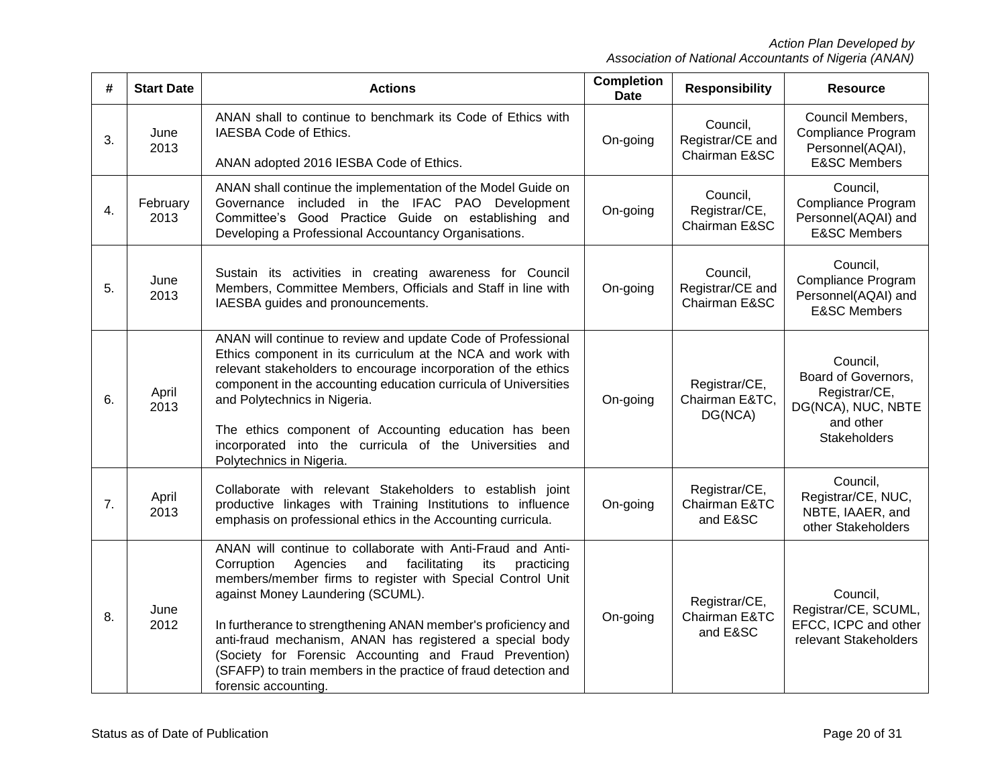| #                | <b>Start Date</b> | <b>Actions</b>                                                                                                                                                                                                                                                                                                                                                                                                                                                                                                         | <b>Completion</b><br><b>Date</b> | <b>Responsibility</b>                         | <b>Resource</b>                                                                                            |
|------------------|-------------------|------------------------------------------------------------------------------------------------------------------------------------------------------------------------------------------------------------------------------------------------------------------------------------------------------------------------------------------------------------------------------------------------------------------------------------------------------------------------------------------------------------------------|----------------------------------|-----------------------------------------------|------------------------------------------------------------------------------------------------------------|
| 3.               | June<br>2013      | ANAN shall to continue to benchmark its Code of Ethics with<br>IAESBA Code of Ethics.<br>ANAN adopted 2016 IESBA Code of Ethics.                                                                                                                                                                                                                                                                                                                                                                                       | On-going                         | Council,<br>Registrar/CE and<br>Chairman E&SC | Council Members,<br>Compliance Program<br>Personnel(AQAI),<br><b>E&amp;SC Members</b>                      |
| $\overline{4}$ . | February<br>2013  | ANAN shall continue the implementation of the Model Guide on<br>Governance included in the IFAC PAO Development<br>Committee's Good Practice Guide on establishing and<br>Developing a Professional Accountancy Organisations.                                                                                                                                                                                                                                                                                         | On-going                         | Council,<br>Registrar/CE,<br>Chairman E&SC    | Council,<br>Compliance Program<br>Personnel(AQAI) and<br><b>E&amp;SC Members</b>                           |
| 5.               | June<br>2013      | Sustain its activities in creating awareness for Council<br>Members, Committee Members, Officials and Staff in line with<br>IAESBA guides and pronouncements.                                                                                                                                                                                                                                                                                                                                                          | On-going                         | Council,<br>Registrar/CE and<br>Chairman E&SC | Council,<br>Compliance Program<br>Personnel(AQAI) and<br><b>E&amp;SC Members</b>                           |
| 6.               | April<br>2013     | ANAN will continue to review and update Code of Professional<br>Ethics component in its curriculum at the NCA and work with<br>relevant stakeholders to encourage incorporation of the ethics<br>component in the accounting education curricula of Universities<br>and Polytechnics in Nigeria.<br>The ethics component of Accounting education has been<br>incorporated into the curricula of the Universities and<br>Polytechnics in Nigeria.                                                                       | On-going                         | Registrar/CE,<br>Chairman E&TC,<br>DG(NCA)    | Council,<br>Board of Governors,<br>Registrar/CE,<br>DG(NCA), NUC, NBTE<br>and other<br><b>Stakeholders</b> |
| 7.               | April<br>2013     | Collaborate with relevant Stakeholders to establish joint<br>productive linkages with Training Institutions to influence<br>emphasis on professional ethics in the Accounting curricula.                                                                                                                                                                                                                                                                                                                               | On-going                         | Registrar/CE,<br>Chairman E&TC<br>and E&SC    | Council,<br>Registrar/CE, NUC,<br>NBTE, IAAER, and<br>other Stakeholders                                   |
| 8.               | June<br>2012      | ANAN will continue to collaborate with Anti-Fraud and Anti-<br>Corruption<br>Agencies<br>facilitating<br>and<br>its<br>practicing<br>members/member firms to register with Special Control Unit<br>against Money Laundering (SCUML).<br>In furtherance to strengthening ANAN member's proficiency and<br>anti-fraud mechanism, ANAN has registered a special body<br>(Society for Forensic Accounting and Fraud Prevention)<br>(SFAFP) to train members in the practice of fraud detection and<br>forensic accounting. | On-going                         | Registrar/CE,<br>Chairman E&TC<br>and E&SC    | Council,<br>Registrar/CE, SCUML,<br>EFCC, ICPC and other<br>relevant Stakeholders                          |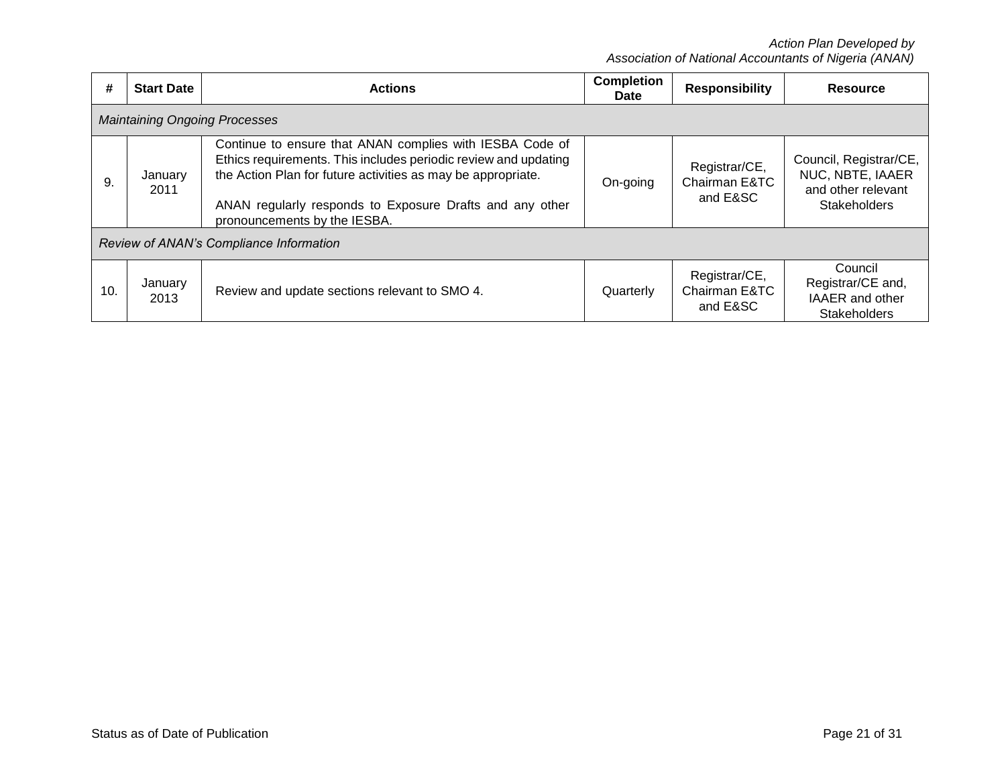| #                                       | <b>Start Date</b>                    | <b>Actions</b>                                                                                                                                                                                                                                                                          | <b>Completion</b><br><b>Date</b> | <b>Responsibility</b>                      | <b>Resource</b>                                                                         |  |  |  |  |
|-----------------------------------------|--------------------------------------|-----------------------------------------------------------------------------------------------------------------------------------------------------------------------------------------------------------------------------------------------------------------------------------------|----------------------------------|--------------------------------------------|-----------------------------------------------------------------------------------------|--|--|--|--|
|                                         | <b>Maintaining Ongoing Processes</b> |                                                                                                                                                                                                                                                                                         |                                  |                                            |                                                                                         |  |  |  |  |
| 9.                                      | January<br>2011                      | Continue to ensure that ANAN complies with IESBA Code of<br>Ethics requirements. This includes periodic review and updating<br>the Action Plan for future activities as may be appropriate.<br>ANAN regularly responds to Exposure Drafts and any other<br>pronouncements by the IESBA. | On-going                         | Registrar/CE,<br>Chairman E&TC<br>and E&SC | Council, Registrar/CE,<br>NUC, NBTE, IAAER<br>and other relevant<br><b>Stakeholders</b> |  |  |  |  |
| Review of ANAN's Compliance Information |                                      |                                                                                                                                                                                                                                                                                         |                                  |                                            |                                                                                         |  |  |  |  |
| 10.                                     | January<br>2013                      | Review and update sections relevant to SMO 4.                                                                                                                                                                                                                                           | Quarterly                        | Registrar/CE,<br>Chairman E&TC<br>and E&SC | Council<br>Registrar/CE and,<br>IAAER and other<br><b>Stakeholders</b>                  |  |  |  |  |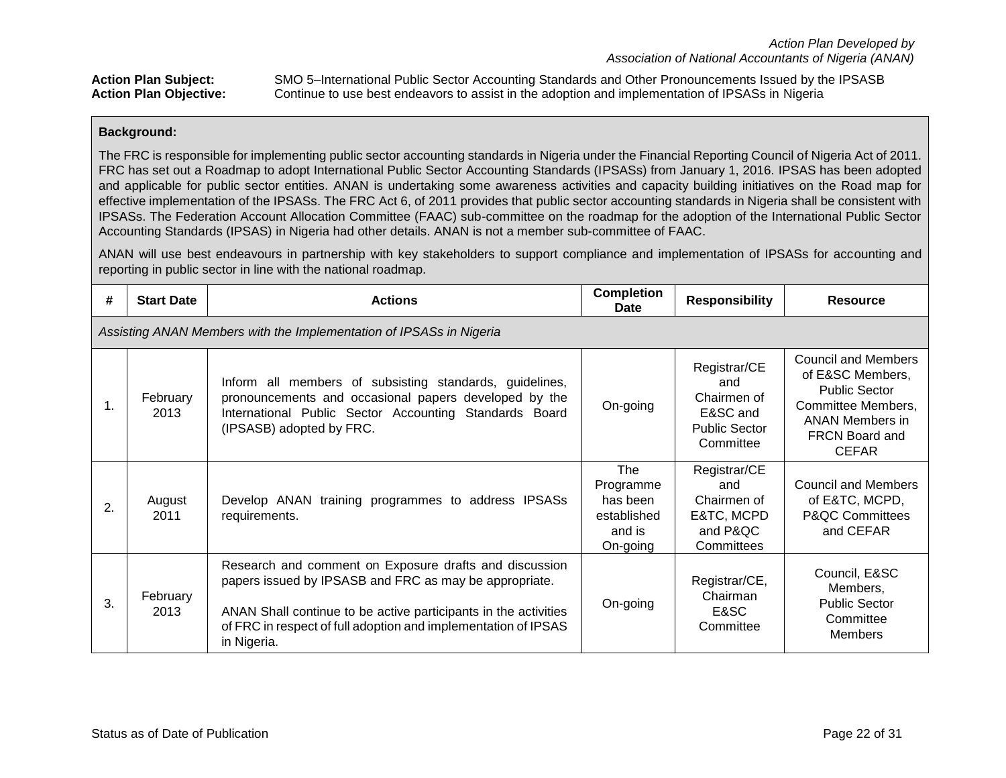Action Plan Subject: SMO 5–International Public Sector Accounting Standards and Other Pronouncements Issued by the IPSASB<br>Action Plan Objective: Continue to use best endeavors to assist in the adoption and implementation o Continue to use best endeavors to assist in the adoption and implementation of IPSASs in Nigeria

## **Background:**

The FRC is responsible for implementing public sector accounting standards in Nigeria under the Financial Reporting Council of Nigeria Act of 2011. FRC has set out a Roadmap to adopt International Public Sector Accounting Standards (IPSASs) from January 1, 2016. IPSAS has been adopted and applicable for public sector entities. ANAN is undertaking some awareness activities and capacity building initiatives on the Road map for effective implementation of the IPSASs. The FRC Act 6, of 2011 provides that public sector accounting standards in Nigeria shall be consistent with IPSASs. The Federation Account Allocation Committee (FAAC) sub-committee on the roadmap for the adoption of the International Public Sector Accounting Standards (IPSAS) in Nigeria had other details. ANAN is not a member sub-committee of FAAC.

ANAN will use best endeavours in partnership with key stakeholders to support compliance and implementation of IPSASs for accounting and reporting in public sector in line with the national roadmap.

| #  | <b>Start Date</b>                                                   | <b>Actions</b>                                                                                                                                                                                                                                                       | <b>Completion</b><br><b>Date</b>                                  | <b>Responsibility</b>                                                               | <b>Resource</b>                                                                                                                                                 |  |  |  |  |  |
|----|---------------------------------------------------------------------|----------------------------------------------------------------------------------------------------------------------------------------------------------------------------------------------------------------------------------------------------------------------|-------------------------------------------------------------------|-------------------------------------------------------------------------------------|-----------------------------------------------------------------------------------------------------------------------------------------------------------------|--|--|--|--|--|
|    | Assisting ANAN Members with the Implementation of IPSASs in Nigeria |                                                                                                                                                                                                                                                                      |                                                                   |                                                                                     |                                                                                                                                                                 |  |  |  |  |  |
| 1. | February<br>2013                                                    | Inform all members of subsisting standards, guidelines,<br>pronouncements and occasional papers developed by the<br>International Public Sector Accounting Standards Board<br>(IPSASB) adopted by FRC.                                                               | On-going                                                          | Registrar/CE<br>and<br>Chairmen of<br>E&SC and<br><b>Public Sector</b><br>Committee | <b>Council and Members</b><br>of E&SC Members,<br><b>Public Sector</b><br>Committee Members,<br><b>ANAN Members in</b><br><b>FRCN Board and</b><br><b>CEFAR</b> |  |  |  |  |  |
| 2. | August<br>2011                                                      | Develop ANAN training programmes to address IPSASs<br>requirements.                                                                                                                                                                                                  | The<br>Programme<br>has been<br>established<br>and is<br>On-going | Registrar/CE<br>and<br>Chairmen of<br>E&TC, MCPD<br>and P&QC<br>Committees          | <b>Council and Members</b><br>of E&TC, MCPD,<br><b>P&amp;QC Committees</b><br>and CEFAR                                                                         |  |  |  |  |  |
| 3. | February<br>2013                                                    | Research and comment on Exposure drafts and discussion<br>papers issued by IPSASB and FRC as may be appropriate.<br>ANAN Shall continue to be active participants in the activities<br>of FRC in respect of full adoption and implementation of IPSAS<br>in Nigeria. | On-going                                                          | Registrar/CE,<br>Chairman<br>E&SC<br>Committee                                      | Council, E&SC<br>Members,<br><b>Public Sector</b><br>Committee<br><b>Members</b>                                                                                |  |  |  |  |  |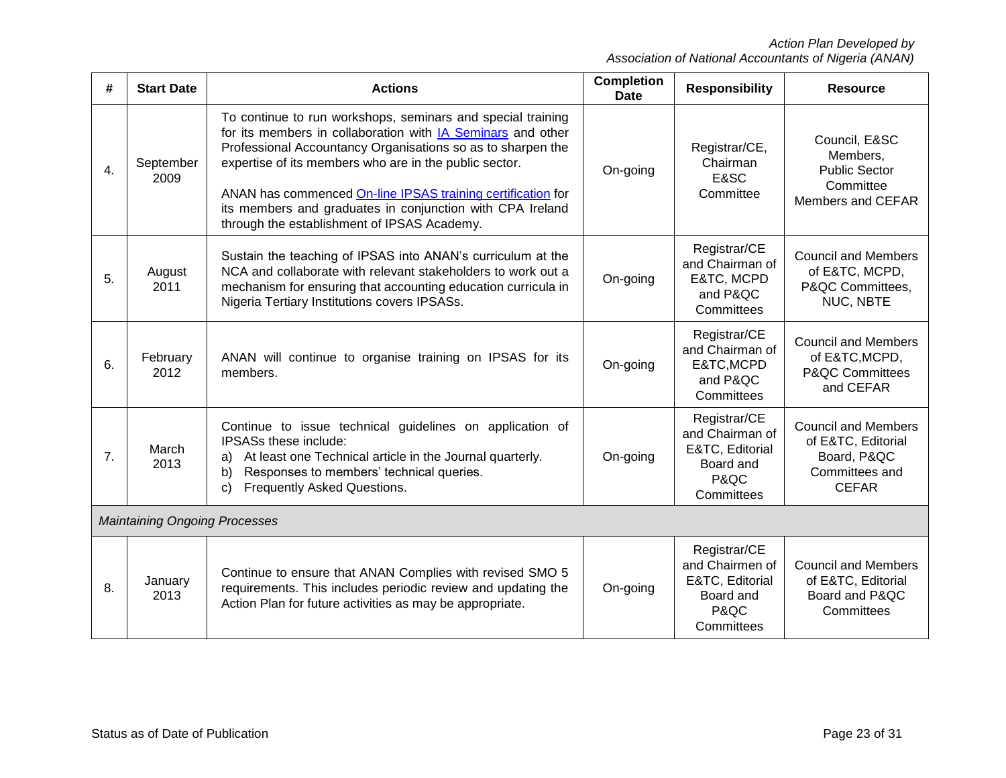| #  | <b>Start Date</b>                    | <b>Actions</b>                                                                                                                                                                                                                                                                                                                                                                                                                 | <b>Completion</b><br>Date | <b>Responsibility</b>                                                                 | <b>Resource</b>                                                                                   |  |  |
|----|--------------------------------------|--------------------------------------------------------------------------------------------------------------------------------------------------------------------------------------------------------------------------------------------------------------------------------------------------------------------------------------------------------------------------------------------------------------------------------|---------------------------|---------------------------------------------------------------------------------------|---------------------------------------------------------------------------------------------------|--|--|
| 4. | September<br>2009                    | To continue to run workshops, seminars and special training<br>for its members in collaboration with IA Seminars and other<br>Professional Accountancy Organisations so as to sharpen the<br>expertise of its members who are in the public sector.<br>ANAN has commenced On-line IPSAS training certification for<br>its members and graduates in conjunction with CPA Ireland<br>through the establishment of IPSAS Academy. | On-going                  | Registrar/CE,<br>Chairman<br>E&SC<br>Committee                                        | Council, E&SC<br>Members,<br><b>Public Sector</b><br>Committee<br>Members and CEFAR               |  |  |
| 5. | August<br>2011                       | Sustain the teaching of IPSAS into ANAN's curriculum at the<br>NCA and collaborate with relevant stakeholders to work out a<br>mechanism for ensuring that accounting education curricula in<br>Nigeria Tertiary Institutions covers IPSASs.                                                                                                                                                                                   | On-going                  | Registrar/CE<br>and Chairman of<br>E&TC, MCPD<br>and P&QC<br>Committees               | <b>Council and Members</b><br>of E&TC, MCPD,<br>P&QC Committees,<br>NUC, NBTE                     |  |  |
| 6. | February<br>2012                     | ANAN will continue to organise training on IPSAS for its<br>members.                                                                                                                                                                                                                                                                                                                                                           | On-going                  | Registrar/CE<br>and Chairman of<br>E&TC, MCPD<br>and P&QC<br>Committees               | <b>Council and Members</b><br>of E&TC, MCPD,<br><b>P&amp;QC Committees</b><br>and CEFAR           |  |  |
| 7. | March<br>2013                        | Continue to issue technical guidelines on application of<br><b>IPSASs these include:</b><br>At least one Technical article in the Journal quarterly.<br>a)<br>Responses to members' technical queries.<br>b)<br>Frequently Asked Questions.<br>C)                                                                                                                                                                              | On-going                  | Registrar/CE<br>and Chairman of<br>E&TC, Editorial<br>Board and<br>P&QC<br>Committees | <b>Council and Members</b><br>of E&TC, Editorial<br>Board, P&QC<br>Committees and<br><b>CEFAR</b> |  |  |
|    | <b>Maintaining Ongoing Processes</b> |                                                                                                                                                                                                                                                                                                                                                                                                                                |                           |                                                                                       |                                                                                                   |  |  |
| 8. | January<br>2013                      | Continue to ensure that ANAN Complies with revised SMO 5<br>requirements. This includes periodic review and updating the<br>Action Plan for future activities as may be appropriate.                                                                                                                                                                                                                                           | On-going                  | Registrar/CE<br>and Chairmen of<br>E&TC, Editorial<br>Board and<br>P&QC<br>Committees | <b>Council and Members</b><br>of E&TC, Editorial<br>Board and P&QC<br>Committees                  |  |  |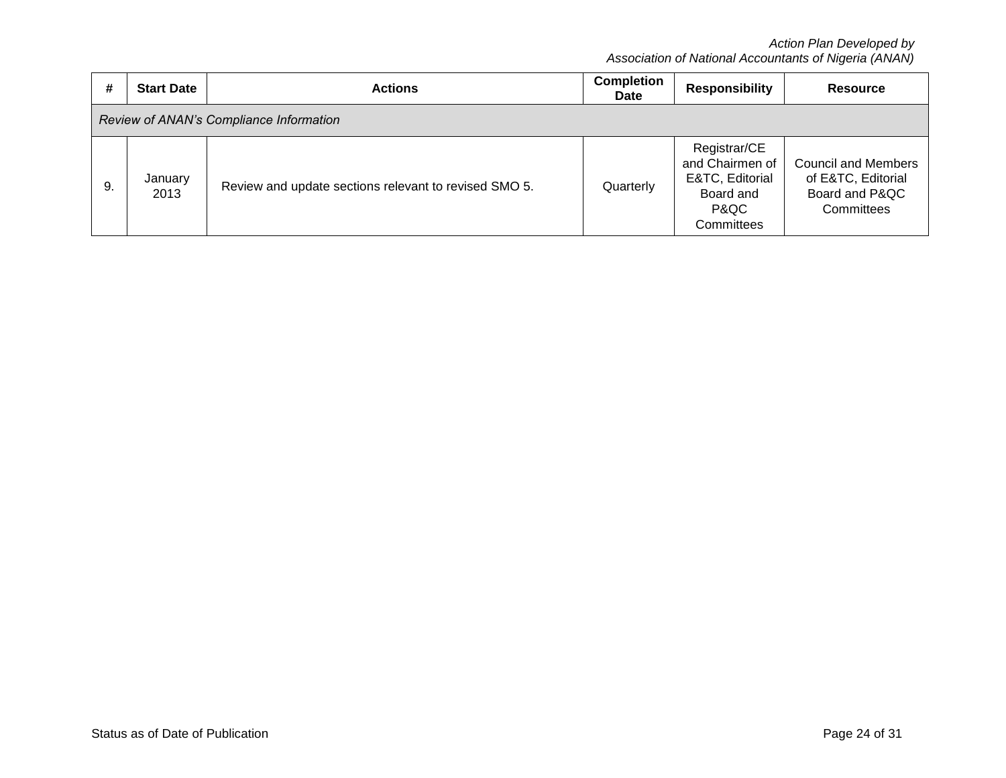| #  | <b>Start Date</b>                       | <b>Actions</b>                                        | <b>Completion</b><br><b>Date</b> | <b>Responsibility</b>                                                                 | <b>Resource</b>                                                                  |  |  |  |  |
|----|-----------------------------------------|-------------------------------------------------------|----------------------------------|---------------------------------------------------------------------------------------|----------------------------------------------------------------------------------|--|--|--|--|
|    | Review of ANAN's Compliance Information |                                                       |                                  |                                                                                       |                                                                                  |  |  |  |  |
| 9. | January<br>2013                         | Review and update sections relevant to revised SMO 5. | Quarterly                        | Registrar/CE<br>and Chairmen of<br>E&TC, Editorial<br>Board and<br>P&QC<br>Committees | <b>Council and Members</b><br>of E&TC, Editorial<br>Board and P&QC<br>Committees |  |  |  |  |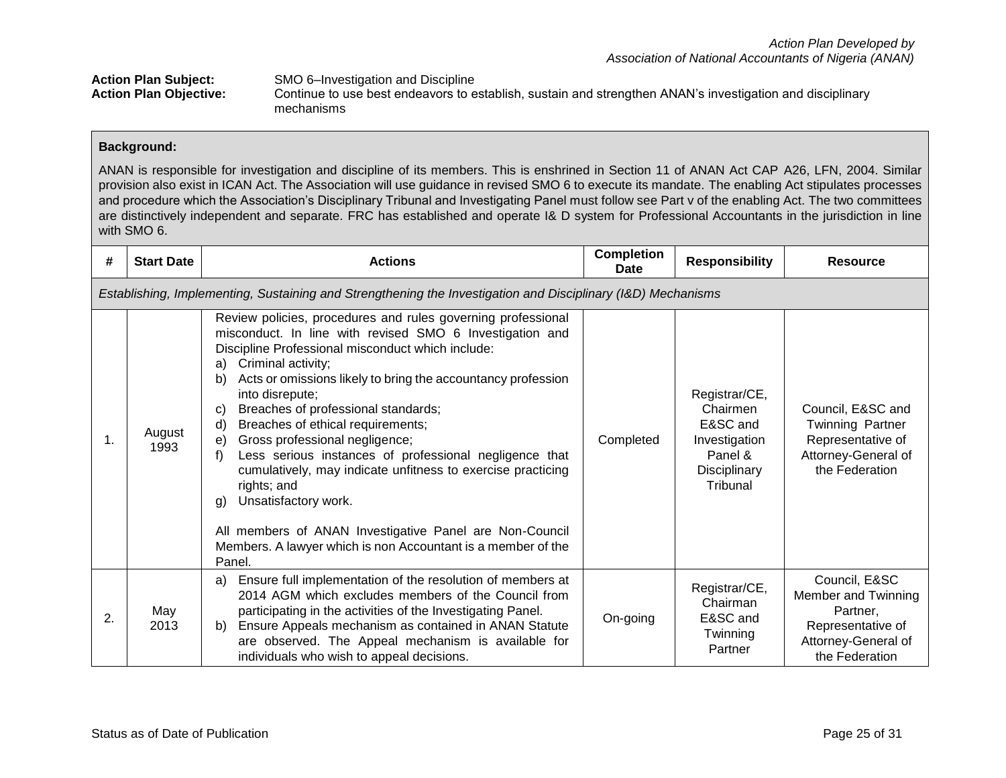| <b>Action Plan Subject:</b>   | SMO 6-Investigation and Discipline                                                                        |
|-------------------------------|-----------------------------------------------------------------------------------------------------------|
| <b>Action Plan Objective:</b> | Continue to use best endeavors to establish, sustain and strengthen ANAN's investigation and disciplinary |
|                               | mechanisms                                                                                                |

ANAN is responsible for investigation and discipline of its members. This is enshrined in Section 11 of ANAN Act CAP A26, LFN, 2004. Similar provision also exist in ICAN Act. The Association will use guidance in revised SMO 6 to execute its mandate. The enabling Act stipulates processes and procedure which the Association's Disciplinary Tribunal and Investigating Panel must follow see Part v of the enabling Act. The two committees are distinctively independent and separate. FRC has established and operate I& D system for Professional Accountants in the jurisdiction in line with SMO 6.

| #  | <b>Start Date</b>                                                                                            | <b>Actions</b>                                                                                                                                                                                                                                                                                                                                                                                                                                                                                                                                                                                                                                                                                                                                      | <b>Completion</b><br>Date | <b>Responsibility</b>                                                                         | <b>Resource</b>                                                                                                |  |  |  |  |
|----|--------------------------------------------------------------------------------------------------------------|-----------------------------------------------------------------------------------------------------------------------------------------------------------------------------------------------------------------------------------------------------------------------------------------------------------------------------------------------------------------------------------------------------------------------------------------------------------------------------------------------------------------------------------------------------------------------------------------------------------------------------------------------------------------------------------------------------------------------------------------------------|---------------------------|-----------------------------------------------------------------------------------------------|----------------------------------------------------------------------------------------------------------------|--|--|--|--|
|    | Establishing, Implementing, Sustaining and Strengthening the Investigation and Disciplinary (I&D) Mechanisms |                                                                                                                                                                                                                                                                                                                                                                                                                                                                                                                                                                                                                                                                                                                                                     |                           |                                                                                               |                                                                                                                |  |  |  |  |
| 1. | August<br>1993                                                                                               | Review policies, procedures and rules governing professional<br>misconduct. In line with revised SMO 6 Investigation and<br>Discipline Professional misconduct which include:<br>Criminal activity;<br>a)<br>Acts or omissions likely to bring the accountancy profession<br>b)<br>into disrepute;<br>Breaches of professional standards;<br>C)<br>Breaches of ethical requirements;<br>d)<br>Gross professional negligence;<br>e)<br>Less serious instances of professional negligence that<br>f)<br>cumulatively, may indicate unfitness to exercise practicing<br>rights; and<br>Unsatisfactory work.<br>g)<br>All members of ANAN Investigative Panel are Non-Council<br>Members. A lawyer which is non Accountant is a member of the<br>Panel. | Completed                 | Registrar/CE,<br>Chairmen<br>E&SC and<br>Investigation<br>Panel &<br>Disciplinary<br>Tribunal | Council, E&SC and<br>Twinning Partner<br>Representative of<br>Attorney-General of<br>the Federation            |  |  |  |  |
| 2. | May<br>2013                                                                                                  | Ensure full implementation of the resolution of members at<br>a)<br>2014 AGM which excludes members of the Council from<br>participating in the activities of the Investigating Panel.<br>Ensure Appeals mechanism as contained in ANAN Statute<br>b)<br>are observed. The Appeal mechanism is available for<br>individuals who wish to appeal decisions.                                                                                                                                                                                                                                                                                                                                                                                           | On-going                  | Registrar/CE,<br>Chairman<br>E&SC and<br>Twinning<br>Partner                                  | Council, E&SC<br>Member and Twinning<br>Partner.<br>Representative of<br>Attorney-General of<br>the Federation |  |  |  |  |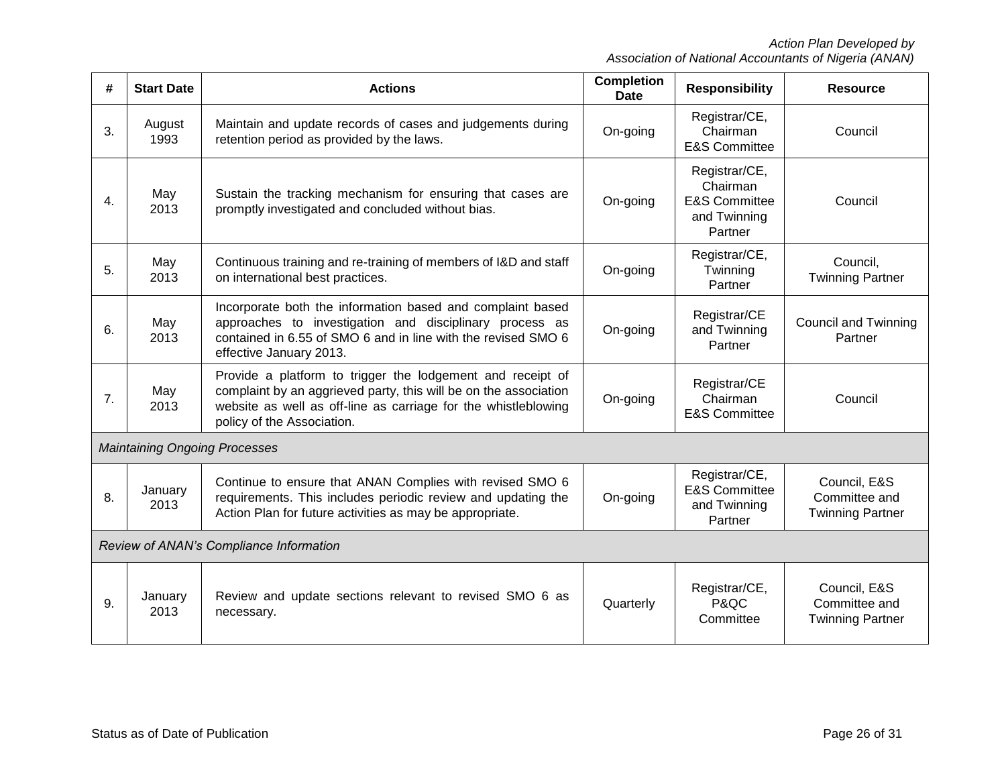| #  | <b>Start Date</b>                       | <b>Actions</b>                                                                                                                                                                                                                 | <b>Completion</b><br><b>Date</b> | <b>Responsibility</b>                                                            | <b>Resource</b>                                          |  |  |
|----|-----------------------------------------|--------------------------------------------------------------------------------------------------------------------------------------------------------------------------------------------------------------------------------|----------------------------------|----------------------------------------------------------------------------------|----------------------------------------------------------|--|--|
| 3. | August<br>1993                          | Maintain and update records of cases and judgements during<br>retention period as provided by the laws.                                                                                                                        | On-going                         | Registrar/CE,<br>Chairman<br><b>E&amp;S Committee</b>                            | Council                                                  |  |  |
| 4. | May<br>2013                             | Sustain the tracking mechanism for ensuring that cases are<br>promptly investigated and concluded without bias.                                                                                                                | On-going                         | Registrar/CE,<br>Chairman<br><b>E&amp;S Committee</b><br>and Twinning<br>Partner | Council                                                  |  |  |
| 5. | May<br>2013                             | Continuous training and re-training of members of I&D and staff<br>on international best practices.                                                                                                                            | On-going                         | Registrar/CE,<br>Twinning<br>Partner                                             | Council,<br><b>Twinning Partner</b>                      |  |  |
| 6. | May<br>2013                             | Incorporate both the information based and complaint based<br>approaches to investigation and disciplinary process as<br>contained in 6.55 of SMO 6 and in line with the revised SMO 6<br>effective January 2013.              | On-going                         | Registrar/CE<br>and Twinning<br>Partner                                          | <b>Council and Twinning</b><br>Partner                   |  |  |
| 7. | May<br>2013                             | Provide a platform to trigger the lodgement and receipt of<br>complaint by an aggrieved party, this will be on the association<br>website as well as off-line as carriage for the whistleblowing<br>policy of the Association. | On-going                         | Registrar/CE<br>Chairman<br><b>E&amp;S Committee</b>                             | Council                                                  |  |  |
|    |                                         | <b>Maintaining Ongoing Processes</b>                                                                                                                                                                                           |                                  |                                                                                  |                                                          |  |  |
| 8. | January<br>2013                         | Continue to ensure that ANAN Complies with revised SMO 6<br>requirements. This includes periodic review and updating the<br>On-going<br>Action Plan for future activities as may be appropriate.                               |                                  | Registrar/CE,<br><b>E&amp;S Committee</b><br>and Twinning<br>Partner             | Council, E&S<br>Committee and<br><b>Twinning Partner</b> |  |  |
|    | Review of ANAN's Compliance Information |                                                                                                                                                                                                                                |                                  |                                                                                  |                                                          |  |  |
| 9. | January<br>2013                         | Review and update sections relevant to revised SMO 6 as<br>necessary.                                                                                                                                                          | Quarterly                        | Registrar/CE,<br>P&QC<br>Committee                                               | Council, E&S<br>Committee and<br><b>Twinning Partner</b> |  |  |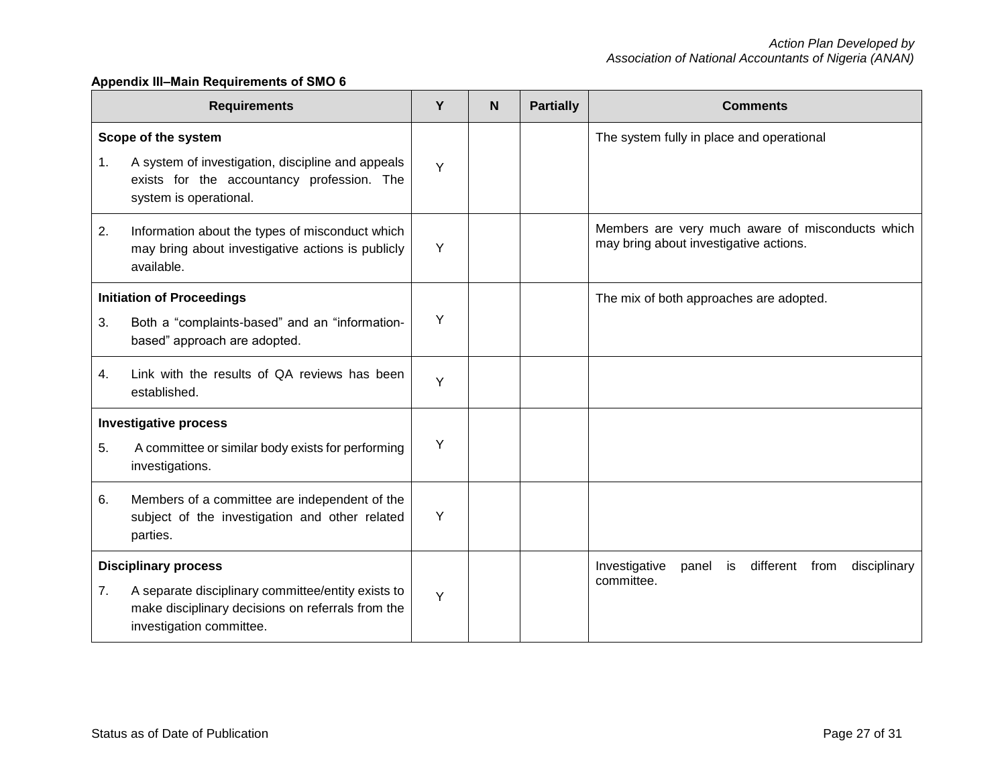## **Appendix III‒Main Requirements of SMO 6**

| <b>Requirements</b> |                                                                                                                                                                    |   | N | <b>Partially</b> | <b>Comments</b>                                                                            |  |  |
|---------------------|--------------------------------------------------------------------------------------------------------------------------------------------------------------------|---|---|------------------|--------------------------------------------------------------------------------------------|--|--|
| 1.                  | Scope of the system<br>A system of investigation, discipline and appeals<br>exists for the accountancy profession. The<br>system is operational.                   | Y |   |                  | The system fully in place and operational                                                  |  |  |
| 2.                  | Information about the types of misconduct which<br>may bring about investigative actions is publicly<br>available.                                                 | Y |   |                  | Members are very much aware of misconducts which<br>may bring about investigative actions. |  |  |
| 3.                  | <b>Initiation of Proceedings</b><br>Both a "complaints-based" and an "information-<br>based" approach are adopted.                                                 | Y |   |                  | The mix of both approaches are adopted.                                                    |  |  |
| 4.                  | Link with the results of QA reviews has been<br>established.                                                                                                       | Y |   |                  |                                                                                            |  |  |
| 5.                  | <b>Investigative process</b><br>A committee or similar body exists for performing<br>investigations.                                                               | Y |   |                  |                                                                                            |  |  |
| 6.                  | Members of a committee are independent of the<br>subject of the investigation and other related<br>parties.                                                        | Y |   |                  |                                                                                            |  |  |
| 7.                  | <b>Disciplinary process</b><br>A separate disciplinary committee/entity exists to<br>make disciplinary decisions on referrals from the<br>investigation committee. | Y |   |                  | different from<br>Investigative<br>disciplinary<br>panel<br>is<br>committee.               |  |  |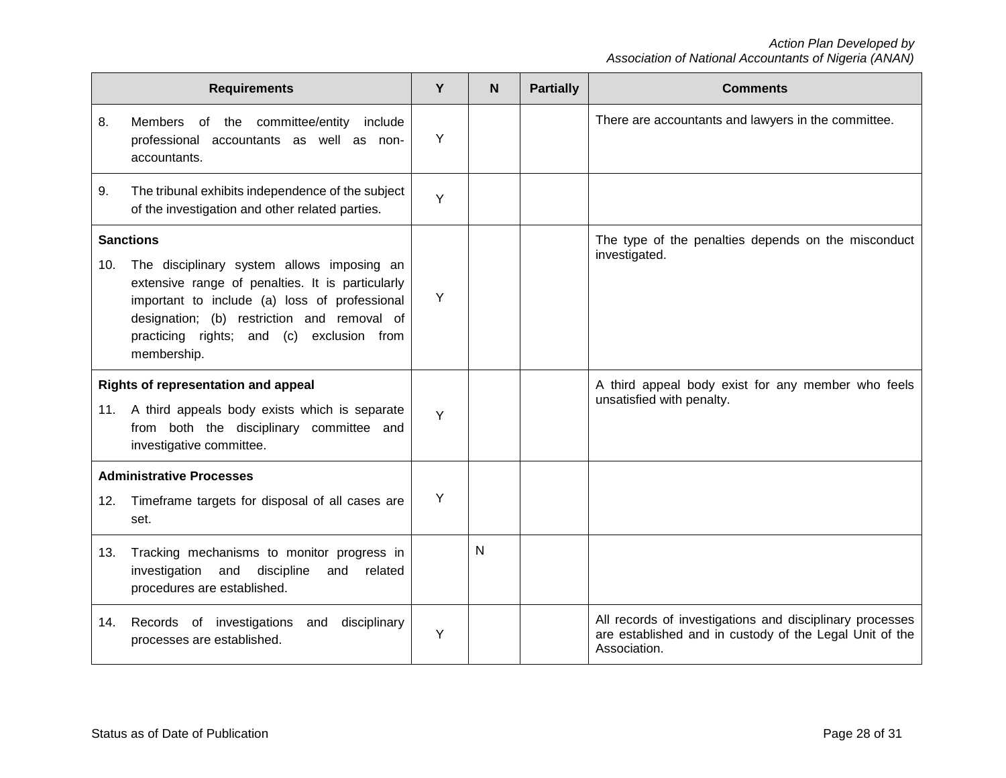|     | <b>Requirements</b>                                                                                                                                                                                                                                                            | Y | N | <b>Partially</b> | <b>Comments</b>                                                                                                                     |
|-----|--------------------------------------------------------------------------------------------------------------------------------------------------------------------------------------------------------------------------------------------------------------------------------|---|---|------------------|-------------------------------------------------------------------------------------------------------------------------------------|
| 8.  | of the committee/entity<br>Members<br>include<br>professional accountants as well as non-<br>accountants.                                                                                                                                                                      | Y |   |                  | There are accountants and lawyers in the committee.                                                                                 |
| 9.  | The tribunal exhibits independence of the subject<br>of the investigation and other related parties.                                                                                                                                                                           | Y |   |                  |                                                                                                                                     |
| 10. | <b>Sanctions</b><br>The disciplinary system allows imposing an<br>extensive range of penalties. It is particularly<br>important to include (a) loss of professional<br>designation; (b) restriction and removal of<br>practicing rights; and (c) exclusion from<br>membership. | Y |   |                  | The type of the penalties depends on the misconduct<br>investigated.                                                                |
|     | Rights of representation and appeal<br>11. A third appeals body exists which is separate<br>from both the disciplinary committee and<br>investigative committee.                                                                                                               | Y |   |                  | A third appeal body exist for any member who feels<br>unsatisfied with penalty.                                                     |
|     | <b>Administrative Processes</b>                                                                                                                                                                                                                                                |   |   |                  |                                                                                                                                     |
| 12. | Timeframe targets for disposal of all cases are<br>set.                                                                                                                                                                                                                        | Y |   |                  |                                                                                                                                     |
| 13. | Tracking mechanisms to monitor progress in<br>investigation<br>and discipline<br>and<br>related<br>procedures are established.                                                                                                                                                 |   | N |                  |                                                                                                                                     |
| 14. | Records of investigations and<br>disciplinary<br>processes are established.                                                                                                                                                                                                    | Υ |   |                  | All records of investigations and disciplinary processes<br>are established and in custody of the Legal Unit of the<br>Association. |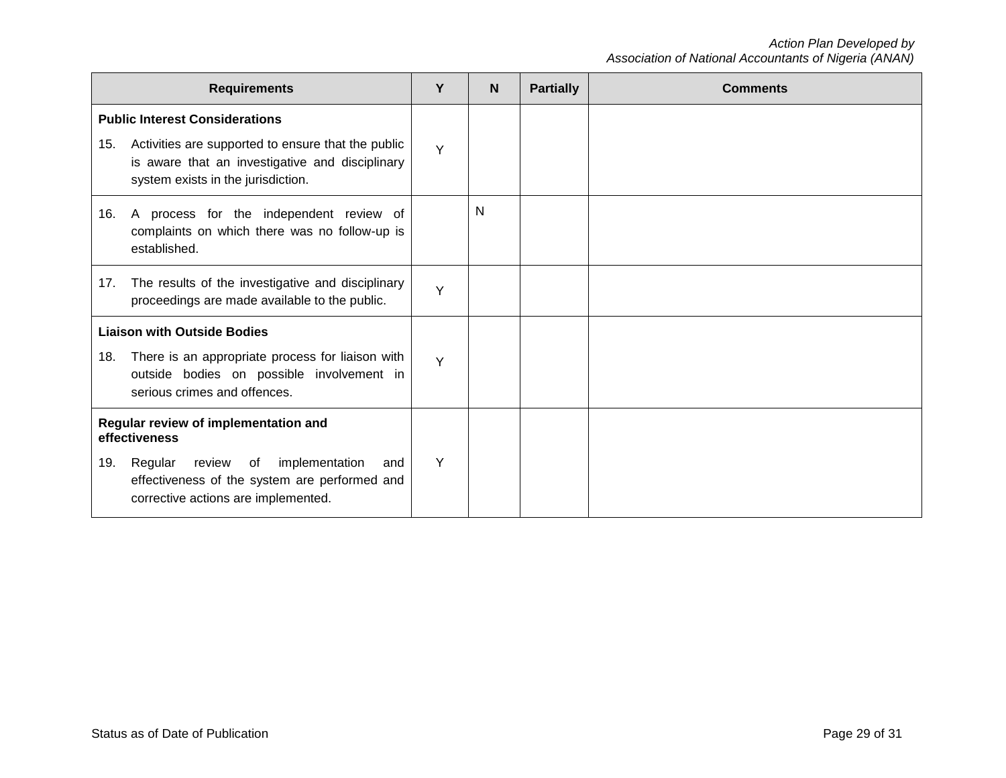|                                                       | <b>Requirements</b>                                                                                                                         | Y | N | <b>Partially</b> | <b>Comments</b> |
|-------------------------------------------------------|---------------------------------------------------------------------------------------------------------------------------------------------|---|---|------------------|-----------------|
|                                                       | <b>Public Interest Considerations</b>                                                                                                       |   |   |                  |                 |
| 15.                                                   | Activities are supported to ensure that the public<br>is aware that an investigative and disciplinary<br>system exists in the jurisdiction. | Y |   |                  |                 |
| 16.                                                   | A process for the independent review of<br>complaints on which there was no follow-up is<br>established.                                    |   | N |                  |                 |
| 17.                                                   | The results of the investigative and disciplinary<br>proceedings are made available to the public.                                          | Y |   |                  |                 |
|                                                       | <b>Liaison with Outside Bodies</b>                                                                                                          |   |   |                  |                 |
| 18.                                                   | There is an appropriate process for liaison with<br>outside bodies on possible involvement in<br>serious crimes and offences.               | Y |   |                  |                 |
| Regular review of implementation and<br>effectiveness |                                                                                                                                             |   |   |                  |                 |
| 19.                                                   | implementation<br>Regular review<br>of<br>and<br>effectiveness of the system are performed and<br>corrective actions are implemented.       | Y |   |                  |                 |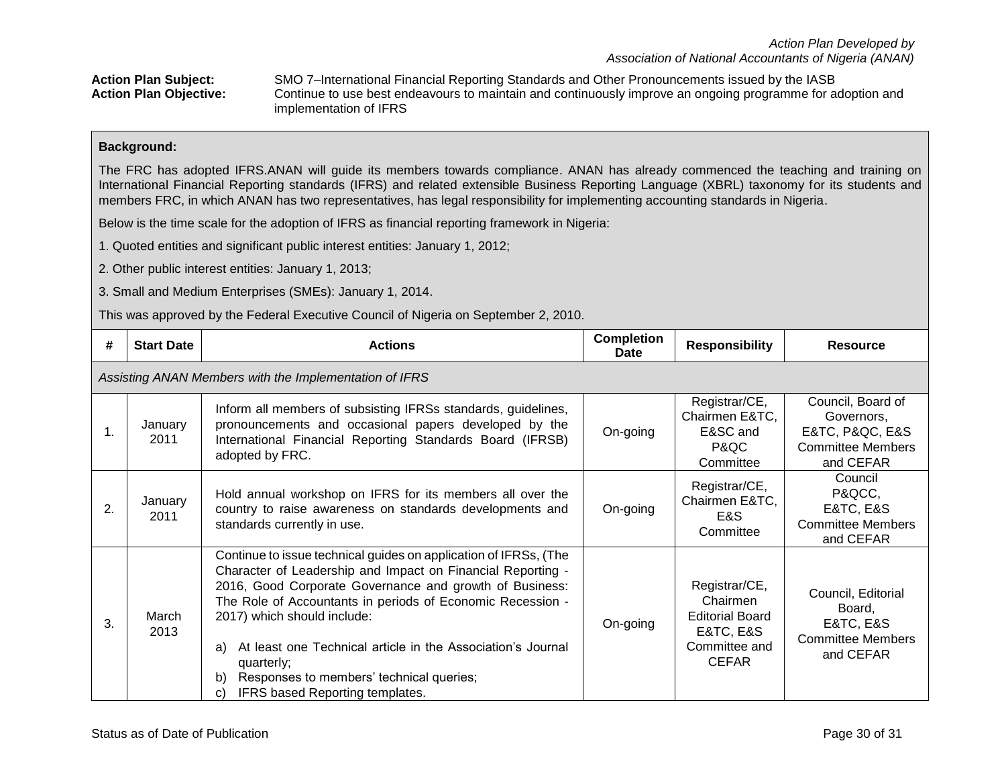Action Plan Subject: SMO 7–International Financial Reporting Standards and Other Pronouncements issued by the IASB<br>**Action Plan Objective:** Continue to use best endeavours to maintain and continuously improve an ongoing pr Continue to use best endeavours to maintain and continuously improve an ongoing programme for adoption and implementation of IFRS

### **Background:**

The FRC has adopted IFRS.ANAN will guide its members towards compliance. ANAN has already commenced the teaching and training on International Financial Reporting standards (IFRS) and related extensible Business Reporting Language (XBRL) taxonomy for its students and members FRC, in which ANAN has two representatives, has legal responsibility for implementing accounting standards in Nigeria.

Below is the time scale for the adoption of IFRS as financial reporting framework in Nigeria:

1. Quoted entities and significant public interest entities: January 1, 2012;

2. Other public interest entities: January 1, 2013;

3. Small and Medium Enterprises (SMEs): January 1, 2014.

This was approved by the Federal Executive Council of Nigeria on September 2, 2010.

| #  | <b>Start Date</b>                                      | <b>Actions</b>                                                                                                                                                                                                                                                                                                                                                                                                                                                        | <b>Completion</b><br><b>Date</b> | <b>Responsibility</b>                                                                             | <b>Resource</b>                                                                                   |  |  |  |  |
|----|--------------------------------------------------------|-----------------------------------------------------------------------------------------------------------------------------------------------------------------------------------------------------------------------------------------------------------------------------------------------------------------------------------------------------------------------------------------------------------------------------------------------------------------------|----------------------------------|---------------------------------------------------------------------------------------------------|---------------------------------------------------------------------------------------------------|--|--|--|--|
|    | Assisting ANAN Members with the Implementation of IFRS |                                                                                                                                                                                                                                                                                                                                                                                                                                                                       |                                  |                                                                                                   |                                                                                                   |  |  |  |  |
| 1. | January<br>2011                                        | Inform all members of subsisting IFRSs standards, guidelines,<br>pronouncements and occasional papers developed by the<br>International Financial Reporting Standards Board (IFRSB)<br>adopted by FRC.                                                                                                                                                                                                                                                                | On-going                         | Registrar/CE,<br>Chairmen E&TC,<br>E&SC and<br>P&QC<br>Committee                                  | Council, Board of<br>Governors,<br>E&TC, P&QC, E&S<br><b>Committee Members</b><br>and CEFAR       |  |  |  |  |
| 2. | January<br>2011                                        | Hold annual workshop on IFRS for its members all over the<br>country to raise awareness on standards developments and<br>standards currently in use.                                                                                                                                                                                                                                                                                                                  | On-going                         | Registrar/CE,<br>Chairmen E&TC,<br>E&S<br>Committee                                               | Council<br>P&QCC,<br><b>E&amp;TC, E&amp;S</b><br><b>Committee Members</b><br>and CEFAR            |  |  |  |  |
| 3. | March<br>2013                                          | Continue to issue technical guides on application of IFRSs, (The<br>Character of Leadership and Impact on Financial Reporting -<br>2016, Good Corporate Governance and growth of Business:<br>The Role of Accountants in periods of Economic Recession -<br>2017) which should include:<br>At least one Technical article in the Association's Journal<br>a)<br>quarterly;<br>Responses to members' technical queries;<br>b)<br>IFRS based Reporting templates.<br>C) | On-going                         | Registrar/CE,<br>Chairmen<br><b>Editorial Board</b><br>E&TC, E&S<br>Committee and<br><b>CEFAR</b> | Council, Editorial<br>Board,<br><b>E&amp;TC, E&amp;S</b><br><b>Committee Members</b><br>and CEFAR |  |  |  |  |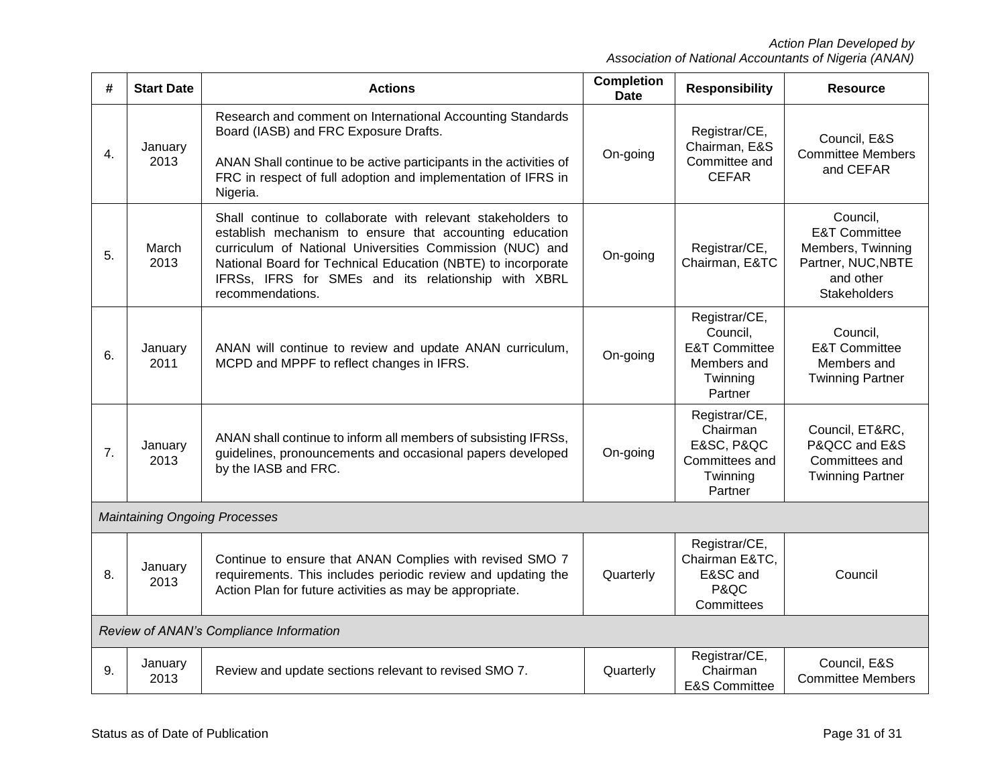| #                | <b>Start Date</b> | <b>Actions</b>                                                                                                                                                                                                                                                                                                                | <b>Completion</b><br><b>Date</b> | <b>Responsibility</b>                                                                       | <b>Resource</b>                                                                                              |
|------------------|-------------------|-------------------------------------------------------------------------------------------------------------------------------------------------------------------------------------------------------------------------------------------------------------------------------------------------------------------------------|----------------------------------|---------------------------------------------------------------------------------------------|--------------------------------------------------------------------------------------------------------------|
| $\overline{4}$ . | January<br>2013   | Research and comment on International Accounting Standards<br>Board (IASB) and FRC Exposure Drafts.<br>ANAN Shall continue to be active participants in the activities of<br>FRC in respect of full adoption and implementation of IFRS in<br>Nigeria.                                                                        | On-going                         | Registrar/CE,<br>Chairman, E&S<br>Committee and<br><b>CEFAR</b>                             | Council, E&S<br><b>Committee Members</b><br>and CEFAR                                                        |
| 5.               | March<br>2013     | Shall continue to collaborate with relevant stakeholders to<br>establish mechanism to ensure that accounting education<br>curriculum of National Universities Commission (NUC) and<br>National Board for Technical Education (NBTE) to incorporate<br>IFRSs, IFRS for SMEs and its relationship with XBRL<br>recommendations. | On-going                         | Registrar/CE,<br>Chairman, E&TC                                                             | Council,<br><b>E&amp;T Committee</b><br>Members, Twinning<br>Partner, NUC, NBTE<br>and other<br>Stakeholders |
| 6.               | January<br>2011   | ANAN will continue to review and update ANAN curriculum,<br>MCPD and MPPF to reflect changes in IFRS.                                                                                                                                                                                                                         | On-going                         | Registrar/CE,<br>Council,<br><b>E&amp;T Committee</b><br>Members and<br>Twinning<br>Partner | Council,<br><b>E&amp;T Committee</b><br>Members and<br><b>Twinning Partner</b>                               |
| 7.               | January<br>2013   | ANAN shall continue to inform all members of subsisting IFRSs,<br>guidelines, pronouncements and occasional papers developed<br>by the IASB and FRC.                                                                                                                                                                          | On-going                         | Registrar/CE,<br>Chairman<br>E&SC, P&QC<br>Committees and<br>Twinning<br>Partner            | Council, ET&RC,<br>P&QCC and E&S<br>Committees and<br><b>Twinning Partner</b>                                |
|                  |                   | <b>Maintaining Ongoing Processes</b>                                                                                                                                                                                                                                                                                          |                                  |                                                                                             |                                                                                                              |
| 8.               | January<br>2013   | Continue to ensure that ANAN Complies with revised SMO 7<br>requirements. This includes periodic review and updating the<br>Action Plan for future activities as may be appropriate.                                                                                                                                          | Quarterly                        | Registrar/CE,<br>Chairman E&TC,<br>E&SC and<br>P&QC<br>Committees                           | Council                                                                                                      |
|                  |                   | Review of ANAN's Compliance Information                                                                                                                                                                                                                                                                                       |                                  |                                                                                             |                                                                                                              |
| 9.               | January<br>2013   | Review and update sections relevant to revised SMO 7.                                                                                                                                                                                                                                                                         | Quarterly                        | Registrar/CE,<br>Chairman<br><b>E&amp;S Committee</b>                                       | Council, E&S<br><b>Committee Members</b>                                                                     |